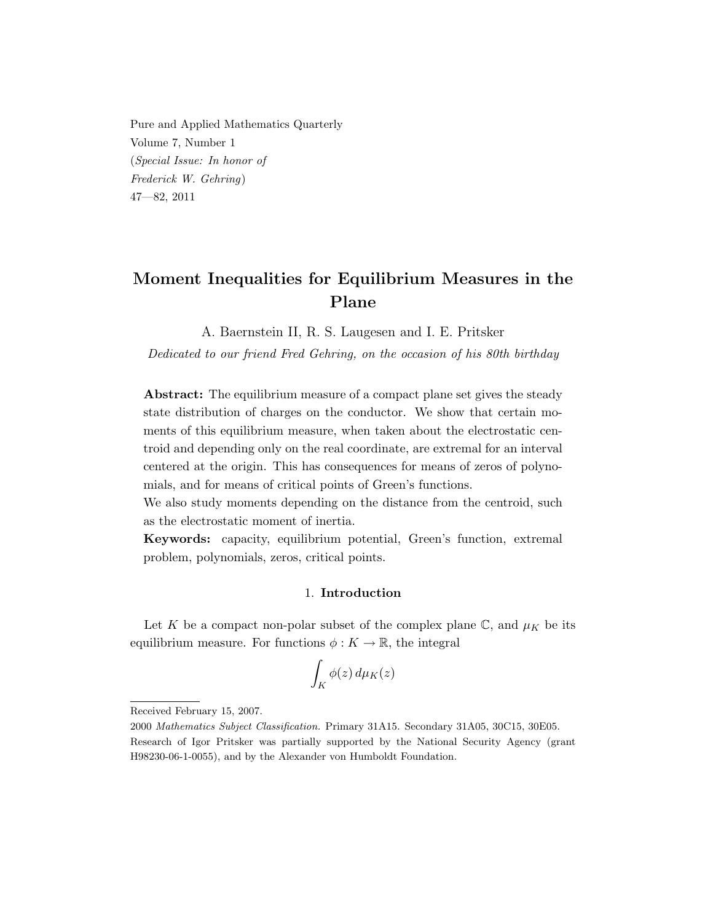Pure and Applied Mathematics Quarterly Volume 7, Number 1 (Special Issue: In honor of Frederick W. Gehring) 47—82, 2011

# Moment Inequalities for Equilibrium Measures in the Plane

A. Baernstein II, R. S. Laugesen and I. E. Pritsker

Dedicated to our friend Fred Gehring, on the occasion of his 80th birthday

Abstract: The equilibrium measure of a compact plane set gives the steady state distribution of charges on the conductor. We show that certain moments of this equilibrium measure, when taken about the electrostatic centroid and depending only on the real coordinate, are extremal for an interval centered at the origin. This has consequences for means of zeros of polynomials, and for means of critical points of Green's functions.

We also study moments depending on the distance from the centroid, such as the electrostatic moment of inertia.

Keywords: capacity, equilibrium potential, Green's function, extremal problem, polynomials, zeros, critical points.

#### 1. Introduction

Let K be a compact non-polar subset of the complex plane  $\mathbb{C}$ , and  $\mu_K$  be its equilibrium measure. For functions  $\phi: K \to \mathbb{R}$ , the integral

$$
\int_K \phi(z)\,d\mu_K(z)
$$

Received February 15, 2007.

<sup>2000</sup> Mathematics Subject Classification. Primary 31A15. Secondary 31A05, 30C15, 30E05. Research of Igor Pritsker was partially supported by the National Security Agency (grant H98230-06-1-0055), and by the Alexander von Humboldt Foundation.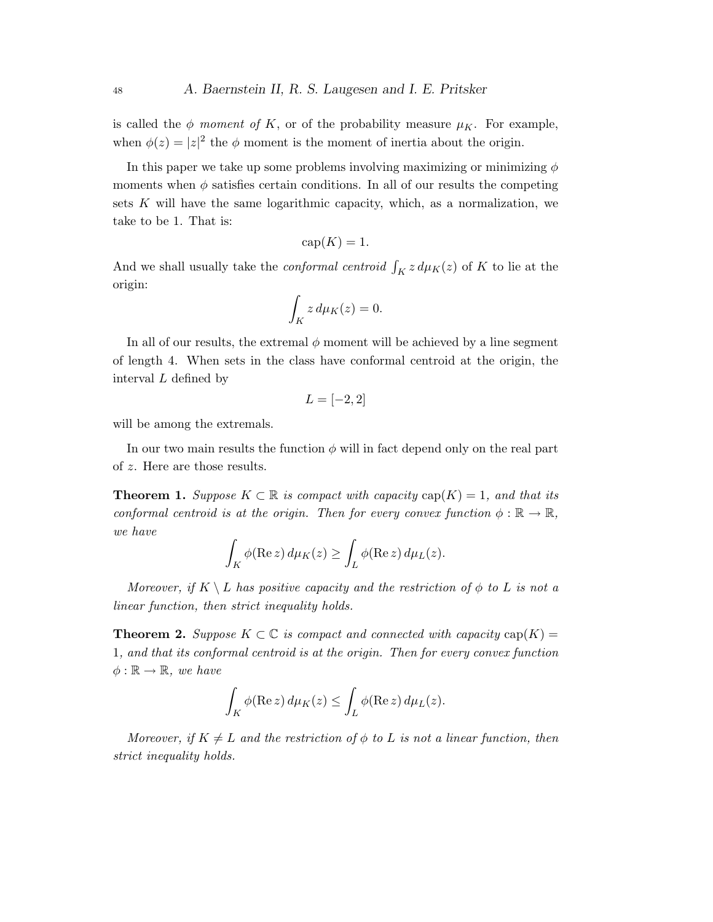is called the  $\phi$  moment of K, or of the probability measure  $\mu_K$ . For example, when  $\phi(z) = |z|^2$  the  $\phi$  moment is the moment of inertia about the origin.

In this paper we take up some problems involving maximizing or minimizing  $\phi$ moments when  $\phi$  satisfies certain conditions. In all of our results the competing sets  $K$  will have the same logarithmic capacity, which, as a normalization, we take to be 1. That is:

$$
cap(K) = 1.
$$

And we shall usually take the *conformal centroid*  $\int_K z \, d\mu_K(z)$  of K to lie at the origin:

$$
\int_K z \, d\mu_K(z) = 0.
$$

In all of our results, the extremal  $\phi$  moment will be achieved by a line segment of length 4. When sets in the class have conformal centroid at the origin, the interval L defined by

$$
L = [-2, 2]
$$

will be among the extremals.

In our two main results the function  $\phi$  will in fact depend only on the real part of z. Here are those results.

**Theorem 1.** Suppose  $K \subset \mathbb{R}$  is compact with capacity  $cap(K) = 1$ , and that its conformal centroid is at the origin. Then for every convex function  $\phi : \mathbb{R} \to \mathbb{R}$ , we have

$$
\int_K \phi(\text{Re } z) d\mu_K(z) \ge \int_L \phi(\text{Re } z) d\mu_L(z).
$$

Moreover, if  $K \setminus L$  has positive capacity and the restriction of  $\phi$  to L is not a linear function, then strict inequality holds.

**Theorem 2.** Suppose  $K \subset \mathbb{C}$  is compact and connected with capacity  $cap(K)$  = 1, and that its conformal centroid is at the origin. Then for every convex function  $\phi : \mathbb{R} \to \mathbb{R}$ , we have

$$
\int_K \phi(\text{Re}\, z) \, d\mu_K(z) \le \int_L \phi(\text{Re}\, z) \, d\mu_L(z).
$$

Moreover, if  $K \neq L$  and the restriction of  $\phi$  to L is not a linear function, then strict inequality holds.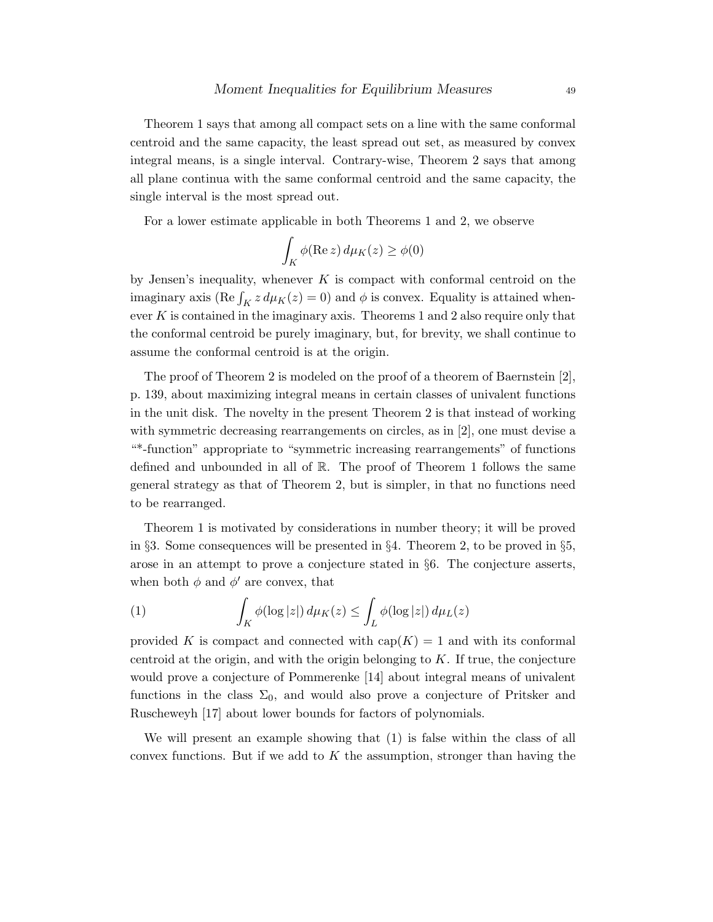Theorem 1 says that among all compact sets on a line with the same conformal centroid and the same capacity, the least spread out set, as measured by convex integral means, is a single interval. Contrary-wise, Theorem 2 says that among all plane continua with the same conformal centroid and the same capacity, the single interval is the most spread out.

For a lower estimate applicable in both Theorems 1 and 2, we observe

$$
\int_K \phi(\text{Re}\, z)\, d\mu_K(z) \ge \phi(0)
$$

by Jensen's inequality, whenever  $K$  is compact with conformal centroid on the imaginary axis (Re  $\int_K z \, d\mu_K(z) = 0$ ) and  $\phi$  is convex. Equality is attained whenever  $K$  is contained in the imaginary axis. Theorems 1 and 2 also require only that the conformal centroid be purely imaginary, but, for brevity, we shall continue to assume the conformal centroid is at the origin.

The proof of Theorem 2 is modeled on the proof of a theorem of Baernstein [2], p. 139, about maximizing integral means in certain classes of univalent functions in the unit disk. The novelty in the present Theorem 2 is that instead of working with symmetric decreasing rearrangements on circles, as in [2], one must devise a "\*-function" appropriate to "symmetric increasing rearrangements" of functions defined and unbounded in all of  $\mathbb{R}$ . The proof of Theorem 1 follows the same general strategy as that of Theorem 2, but is simpler, in that no functions need to be rearranged.

Theorem 1 is motivated by considerations in number theory; it will be proved in §3. Some consequences will be presented in §4. Theorem 2, to be proved in §5, arose in an attempt to prove a conjecture stated in §6. The conjecture asserts, when both  $\phi$  and  $\phi'$  are convex, that

(1) 
$$
\int_K \phi(\log|z|) d\mu_K(z) \leq \int_L \phi(\log|z|) d\mu_L(z)
$$

provided K is compact and connected with  $cap(K) = 1$  and with its conformal centroid at the origin, and with the origin belonging to  $K$ . If true, the conjecture would prove a conjecture of Pommerenke [14] about integral means of univalent functions in the class  $\Sigma_0$ , and would also prove a conjecture of Pritsker and Ruscheweyh [17] about lower bounds for factors of polynomials.

We will present an example showing that (1) is false within the class of all convex functions. But if we add to  $K$  the assumption, stronger than having the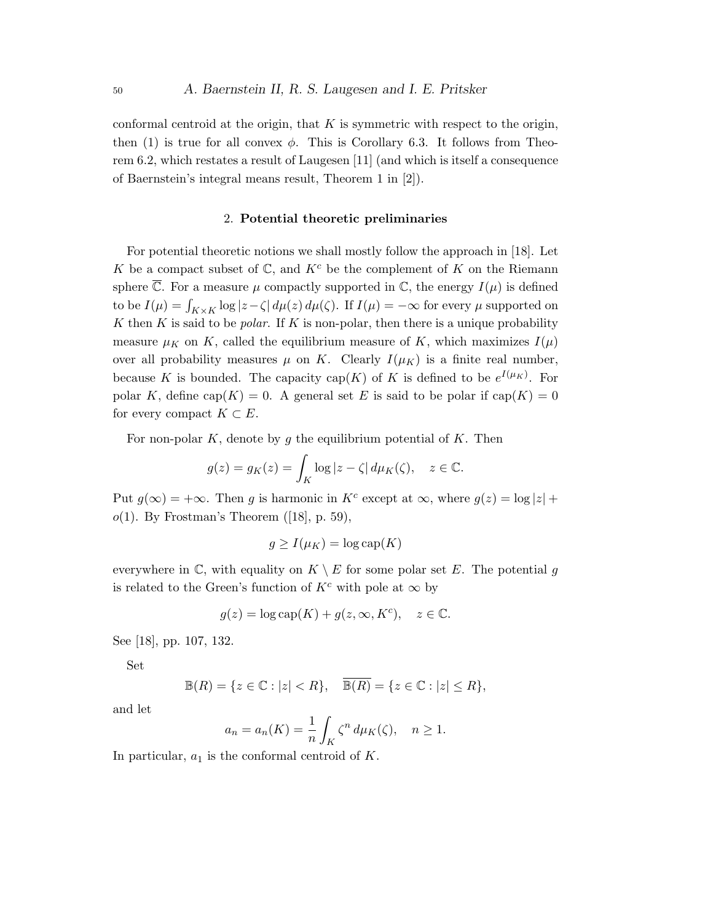conformal centroid at the origin, that  $K$  is symmetric with respect to the origin, then (1) is true for all convex  $\phi$ . This is Corollary 6.3. It follows from Theorem 6.2, which restates a result of Laugesen [11] (and which is itself a consequence of Baernstein's integral means result, Theorem 1 in [2]).

## 2. Potential theoretic preliminaries

For potential theoretic notions we shall mostly follow the approach in [18]. Let K be a compact subset of  $\mathbb{C}$ , and  $K^c$  be the complement of K on the Riemann sphere  $\overline{\mathbb{C}}$ . For a measure  $\mu$  compactly supported in  $\mathbb{C}$ , the energy  $I(\mu)$  is defined to be  $I(\mu) = \int_{K \times K} \log |z - \zeta| d\mu(z) d\mu(\zeta)$ . If  $I(\mu) = -\infty$  for every  $\mu$  supported on  $K$  then  $K$  is said to be *polar*. If  $K$  is non-polar, then there is a unique probability measure  $\mu_K$  on K, called the equilibrium measure of K, which maximizes  $I(\mu)$ over all probability measures  $\mu$  on K. Clearly  $I(\mu_K)$  is a finite real number, because K is bounded. The capacity cap(K) of K is defined to be  $e^{I(\mu_K)}$ . For polar K, define cap(K) = 0. A general set E is said to be polar if cap(K) = 0 for every compact  $K \subset E$ .

For non-polar  $K$ , denote by g the equilibrium potential of  $K$ . Then

$$
g(z) = g_K(z) = \int_K \log|z - \zeta| \, d\mu_K(\zeta), \quad z \in \mathbb{C}.
$$

Put  $g(\infty) = +\infty$ . Then g is harmonic in  $K^c$  except at  $\infty$ , where  $g(z) = \log |z| +$  $o(1)$ . By Frostman's Theorem ([18], p. 59),

$$
g \ge I(\mu_K) = \log \text{cap}(K)
$$

everywhere in  $\mathbb C$ , with equality on  $K \setminus E$  for some polar set E. The potential g is related to the Green's function of  $K^c$  with pole at  $\infty$  by

$$
g(z)=\log\text{cap}(K)+g(z,\infty,K^c),\quad z\in\mathbb{C}.
$$

See [18], pp. 107, 132.

Set

$$
\mathbb{B}(R) = \{ z \in \mathbb{C} : |z| < R \}, \quad \overline{\mathbb{B}(R)} = \{ z \in \mathbb{C} : |z| \le R \},
$$

and let

$$
a_n = a_n(K) = \frac{1}{n} \int_K \zeta^n d\mu_K(\zeta), \quad n \ge 1.
$$

In particular,  $a_1$  is the conformal centroid of K.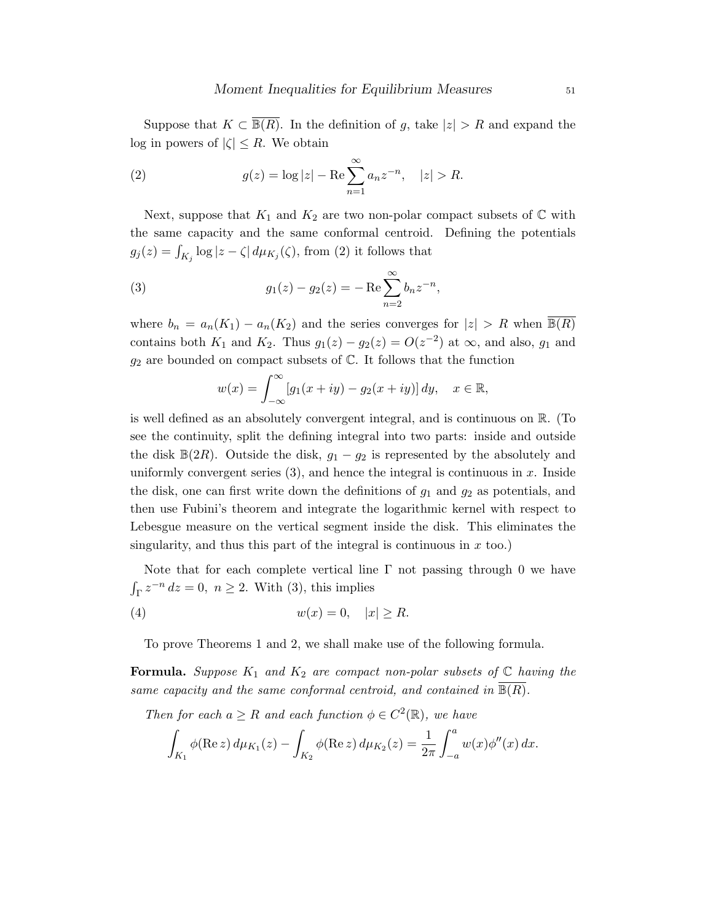Suppose that  $K \subset \mathbb{B}(R)$ . In the definition of g, take  $|z| > R$  and expand the log in powers of  $|\zeta| \leq R$ . We obtain

(2) 
$$
g(z) = \log|z| - \text{Re} \sum_{n=1}^{\infty} a_n z^{-n}, \quad |z| > R.
$$

Next, suppose that  $K_1$  and  $K_2$  are two non-polar compact subsets of  $\mathbb C$  with the same capacity and the same conformal centroid. Defining the potentials  $g_j(z) = \int_{K_j} \log |z - \zeta| \, d\mu_{K_j}(\zeta)$ , from (2) it follows that

(3) 
$$
g_1(z) - g_2(z) = -\operatorname{Re} \sum_{n=2}^{\infty} b_n z^{-n},
$$

where  $b_n = a_n(K_1) - a_n(K_2)$  and the series converges for  $|z| > R$  when  $\overline{\mathbb{B}(R)}$ contains both  $K_1$  and  $K_2$ . Thus  $g_1(z) - g_2(z) = O(z^{-2})$  at  $\infty$ , and also,  $g_1$  and  $g_2$  are bounded on compact subsets of  $\mathbb C$ . It follows that the function

$$
w(x) = \int_{-\infty}^{\infty} [g_1(x+iy) - g_2(x+iy)] dy, \quad x \in \mathbb{R},
$$

is well defined as an absolutely convergent integral, and is continuous on R. (To see the continuity, split the defining integral into two parts: inside and outside the disk  $\mathbb{B}(2R)$ . Outside the disk,  $g_1 - g_2$  is represented by the absolutely and uniformly convergent series  $(3)$ , and hence the integral is continuous in x. Inside the disk, one can first write down the definitions of  $g_1$  and  $g_2$  as potentials, and then use Fubini's theorem and integrate the logarithmic kernel with respect to Lebesgue measure on the vertical segment inside the disk. This eliminates the singularity, and thus this part of the integral is continuous in  $x$  too.)

Note that for each complete vertical line  $\Gamma$  not passing through 0 we have  $\int_{\Gamma} z^{-n} dz = 0$ ,  $n \ge 2$ . With (3), this implies

$$
(4) \t\t\t w(x) = 0, \t|x| \ge R.
$$

To prove Theorems 1 and 2, we shall make use of the following formula.

**Formula.** Suppose  $K_1$  and  $K_2$  are compact non-polar subsets of  $\mathbb C$  having the same capacity and the same conformal centroid, and contained in  $\mathbb{B}(R)$ .

Then for each  $a \geq R$  and each function  $\phi \in C^2(\mathbb{R})$ , we have

$$
\int_{K_1} \phi(\text{Re } z) d\mu_{K_1}(z) - \int_{K_2} \phi(\text{Re } z) d\mu_{K_2}(z) = \frac{1}{2\pi} \int_{-a}^a w(x) \phi''(x) dx.
$$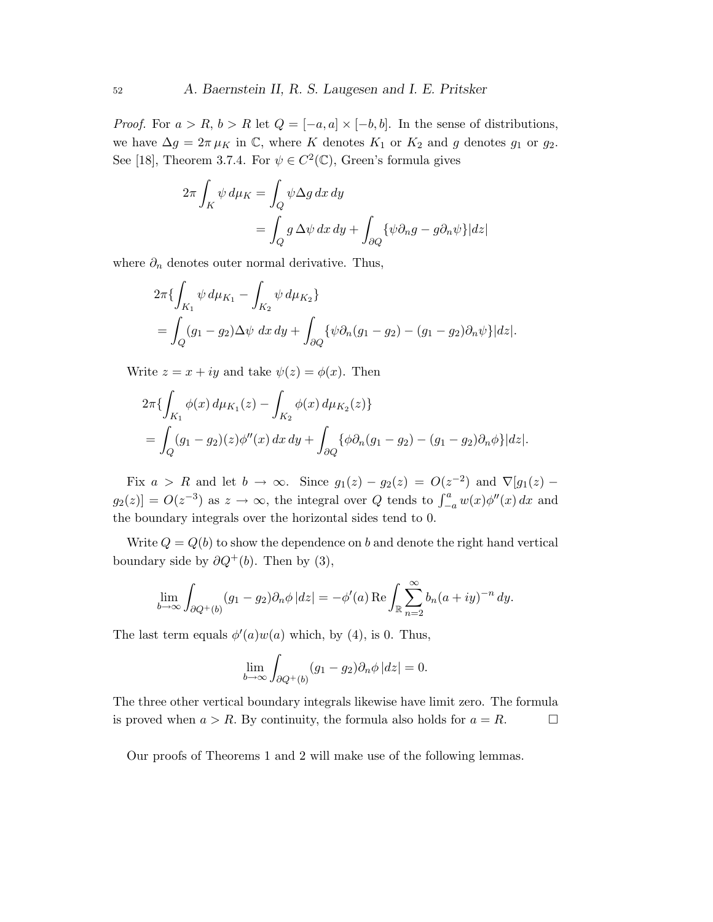*Proof.* For  $a > R$ ,  $b > R$  let  $Q = [-a, a] \times [-b, b]$ . In the sense of distributions, we have  $\Delta g = 2\pi \mu_K$  in C, where K denotes  $K_1$  or  $K_2$  and g denotes  $g_1$  or  $g_2$ . See [18], Theorem 3.7.4. For  $\psi \in C^2(\mathbb{C})$ , Green's formula gives

$$
2\pi \int_K \psi \, d\mu_K = \int_Q \psi \Delta g \, dx \, dy
$$

$$
= \int_Q g \, \Delta \psi \, dx \, dy + \int_{\partial Q} {\{\psi \partial_n g - g \partial_n \psi\}} |dz|
$$

where  $\partial_n$  denotes outer normal derivative. Thus,

$$
2\pi \{ \int_{K_1} \psi \, d\mu_{K_1} - \int_{K_2} \psi \, d\mu_{K_2} \}
$$
  
= 
$$
\int_Q (g_1 - g_2) \Delta \psi \, dx \, dy + \int_{\partial Q} {\{\psi \partial_n (g_1 - g_2) - (g_1 - g_2) \partial_n \psi\}} |dz|.
$$

Write  $z = x + iy$  and take  $\psi(z) = \phi(x)$ . Then

$$
2\pi \{ \int_{K_1} \phi(x) d\mu_{K_1}(z) - \int_{K_2} \phi(x) d\mu_{K_2}(z) \}
$$
  
= 
$$
\int_{Q} (g_1 - g_2)(z) \phi''(x) dx dy + \int_{\partial Q} {\{\phi \partial_n (g_1 - g_2) - (g_1 - g_2) \partial_n \phi\}} |dz|.
$$

Fix  $a > R$  and let  $b \to \infty$ . Since  $g_1(z) - g_2(z) = O(z^{-2})$  and  $\nabla[g_1(z) - g_2(z)]$  $g_2(z)$  =  $O(z^{-3})$  as  $z \to \infty$ , the integral over Q tends to  $\int_{-a}^{a} w(x) \phi''(x) dx$  and the boundary integrals over the horizontal sides tend to 0.

Write  $Q = Q(b)$  to show the dependence on b and denote the right hand vertical boundary side by  $\partial Q^+(b)$ . Then by (3),

$$
\lim_{b \to \infty} \int_{\partial Q^+(b)} (g_1 - g_2) \partial_n \phi \, |dz| = -\phi'(a) \operatorname{Re} \int_{\mathbb{R}} \sum_{n=2}^{\infty} b_n (a+iy)^{-n} \, dy.
$$

The last term equals  $\phi'(a)w(a)$  which, by (4), is 0. Thus,

$$
\lim_{b \to \infty} \int_{\partial Q^+(b)} (g_1 - g_2) \partial_n \phi \, |dz| = 0.
$$

The three other vertical boundary integrals likewise have limit zero. The formula is proved when  $a > R$ . By continuity, the formula also holds for  $a = R$ .

Our proofs of Theorems 1 and 2 will make use of the following lemmas.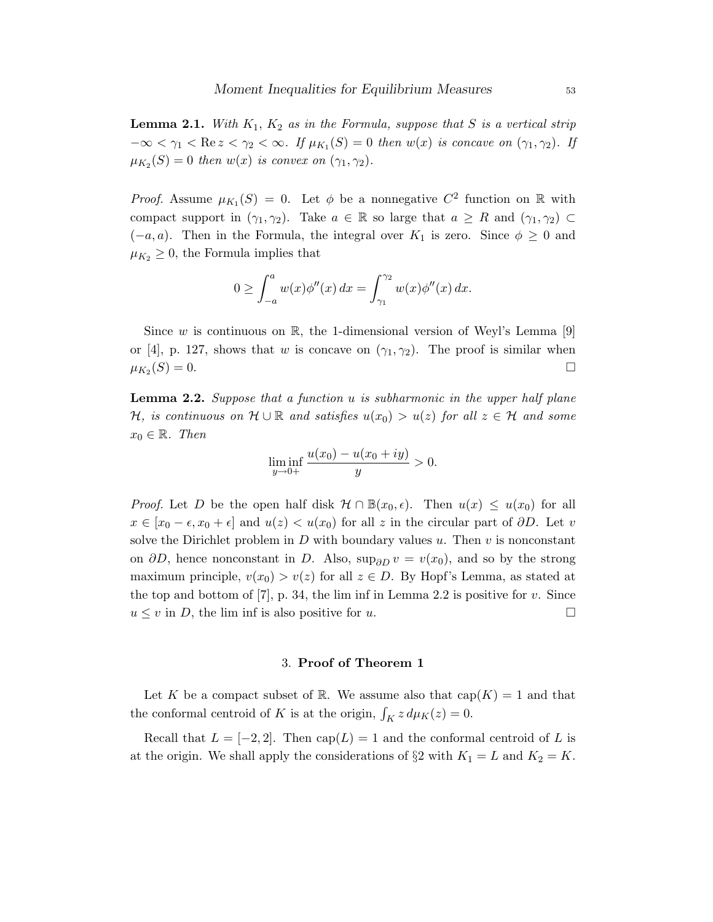**Lemma 2.1.** With  $K_1$ ,  $K_2$  as in the Formula, suppose that S is a vertical strip  $-\infty < \gamma_1 < \text{Re } z < \gamma_2 < \infty$ . If  $\mu_{K_1}(S) = 0$  then  $w(x)$  is concave on  $(\gamma_1, \gamma_2)$ . If  $\mu_{K_2}(S) = 0$  then  $w(x)$  is convex on  $(\gamma_1, \gamma_2)$ .

*Proof.* Assume  $\mu_{K_1}(S) = 0$ . Let  $\phi$  be a nonnegative  $C^2$  function on R with compact support in  $(\gamma_1, \gamma_2)$ . Take  $a \in \mathbb{R}$  so large that  $a \geq R$  and  $(\gamma_1, \gamma_2) \subset$  $(-a, a)$ . Then in the Formula, the integral over  $K_1$  is zero. Since  $\phi \geq 0$  and  $\mu_{K_2} \geq 0$ , the Formula implies that

$$
0 \ge \int_{-a}^{a} w(x)\phi''(x) dx = \int_{\gamma_1}^{\gamma_2} w(x)\phi''(x) dx.
$$

Since w is continuous on  $\mathbb{R}$ , the 1-dimensional version of Weyl's Lemma [9] or [4], p. 127, shows that w is concave on  $(\gamma_1, \gamma_2)$ . The proof is similar when  $\mu_{K_2}(S) = 0.$  $(S) = 0.$ 

**Lemma 2.2.** Suppose that a function  $u$  is subharmonic in the upper half plane H, is continuous on  $\mathcal{H} \cup \mathbb{R}$  and satisfies  $u(x_0) > u(z)$  for all  $z \in \mathcal{H}$  and some  $x_0 \in \mathbb{R}$ . Then

$$
\liminf_{y \to 0+} \frac{u(x_0) - u(x_0 + iy)}{y} > 0.
$$

*Proof.* Let D be the open half disk  $\mathcal{H} \cap \mathbb{B}(x_0, \epsilon)$ . Then  $u(x) \leq u(x_0)$  for all  $x \in [x_0 - \epsilon, x_0 + \epsilon]$  and  $u(z) < u(x_0)$  for all z in the circular part of  $\partial D$ . Let v solve the Dirichlet problem in  $D$  with boundary values  $u$ . Then  $v$  is nonconstant on  $\partial D$ , hence nonconstant in D. Also, sup<sub> $\partial D$ </sub>  $v = v(x_0)$ , and so by the strong maximum principle,  $v(x_0) > v(z)$  for all  $z \in D$ . By Hopf's Lemma, as stated at the top and bottom of  $[7]$ , p. 34, the lim inf in Lemma 2.2 is positive for v. Since  $u \leq v$  in D, the lim inf is also positive for u.

#### 3. Proof of Theorem 1

Let K be a compact subset of R. We assume also that  $cap(K) = 1$  and that the conformal centroid of K is at the origin,  $\int_K z \, d\mu_K(z) = 0$ .

Recall that  $L = [-2, 2]$ . Then  $cap(L) = 1$  and the conformal centroid of L is at the origin. We shall apply the considerations of  $\S 2$  with  $K_1 = L$  and  $K_2 = K$ .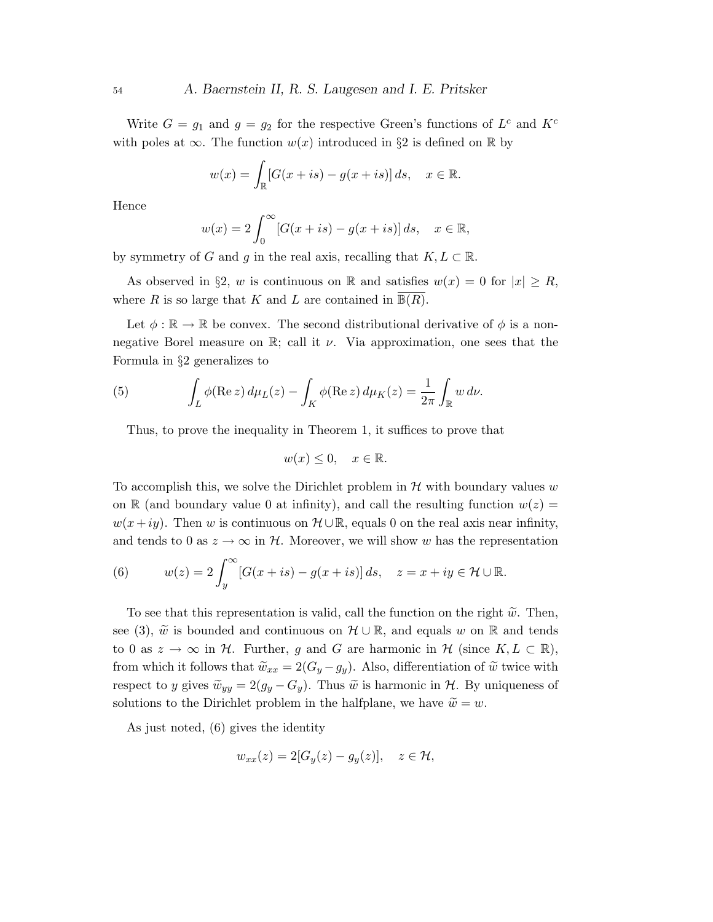Write  $G = g_1$  and  $g = g_2$  for the respective Green's functions of  $L^c$  and  $K^c$ with poles at  $\infty$ . The function  $w(x)$  introduced in §2 is defined on R by

$$
w(x) = \int_{\mathbb{R}} [G(x+is) - g(x+is)] ds, \quad x \in \mathbb{R}.
$$

Hence

$$
w(x) = 2 \int_0^\infty [G(x+is) - g(x+is)] ds, \quad x \in \mathbb{R},
$$

by symmetry of G and g in the real axis, recalling that  $K, L \subset \mathbb{R}$ .

As observed in §2, w is continuous on R and satisfies  $w(x) = 0$  for  $|x| \ge R$ , where R is so large that K and L are contained in  $\mathbb{B}(R)$ .

Let  $\phi : \mathbb{R} \to \mathbb{R}$  be convex. The second distributional derivative of  $\phi$  is a nonnegative Borel measure on  $\mathbb{R}$ ; call it  $\nu$ . Via approximation, one sees that the Formula in §2 generalizes to

(5) 
$$
\int_L \phi(\text{Re } z) d\mu_L(z) - \int_K \phi(\text{Re } z) d\mu_K(z) = \frac{1}{2\pi} \int_{\mathbb{R}} w d\nu.
$$

Thus, to prove the inequality in Theorem 1, it suffices to prove that

$$
w(x) \le 0, \quad x \in \mathbb{R}.
$$

To accomplish this, we solve the Dirichlet problem in  $H$  with boundary values w on R (and boundary value 0 at infinity), and call the resulting function  $w(z)$  =  $w(x+iy)$ . Then w is continuous on  $\mathcal{H} \cup \mathbb{R}$ , equals 0 on the real axis near infinity, and tends to 0 as  $z \to \infty$  in H. Moreover, we will show w has the representation

(6) 
$$
w(z) = 2 \int_{y}^{\infty} [G(x+is) - g(x+is)] ds, \quad z = x + iy \in \mathcal{H} \cup \mathbb{R}.
$$

To see that this representation is valid, call the function on the right  $\tilde{w}$ . Then, see (3),  $\tilde{w}$  is bounded and continuous on  $\mathcal{H} \cup \mathbb{R}$ , and equals w on R and tends to 0 as  $z \to \infty$  in H. Further, g and G are harmonic in H (since  $K, L \subset \mathbb{R}$ ), from which it follows that  $\widetilde{w}_{xx} = 2(G_y - g_y)$ . Also, differentiation of  $\widetilde{w}$  twice with respect to y gives  $\widetilde{w}_{yy} = 2(g_y - G_y)$ . Thus  $\widetilde{w}$  is harmonic in  $\mathcal{H}$ . By uniqueness of solutions to the Dirichlet problem in the halfplane, we have  $\widetilde{w} = w$ .

As just noted, (6) gives the identity

$$
w_{xx}(z) = 2[G_y(z) - g_y(z)], \quad z \in \mathcal{H},
$$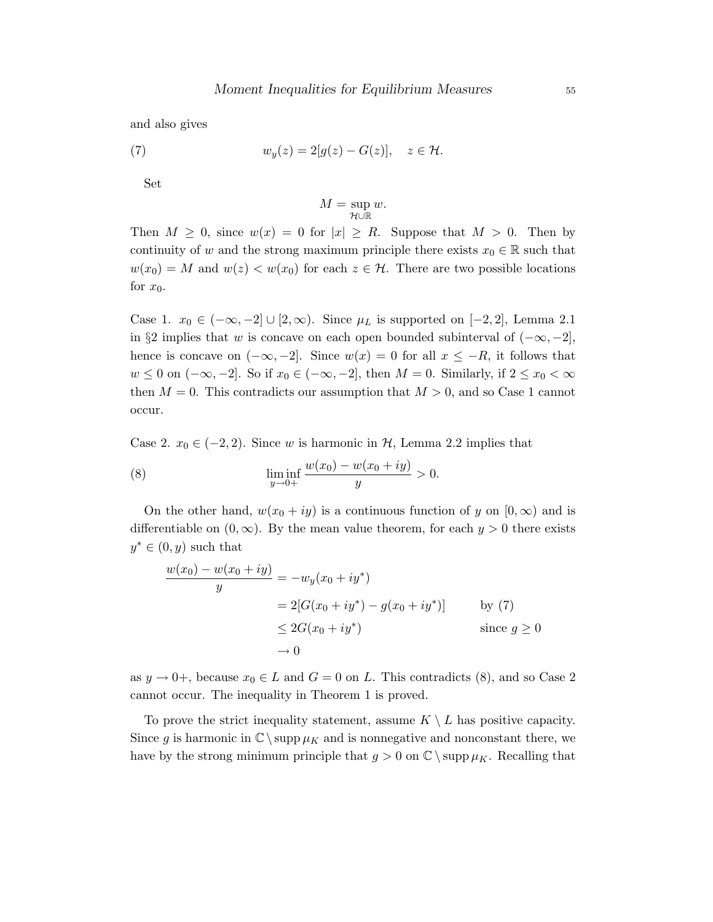and also gives

(7) 
$$
w_y(z) = 2[g(z) - G(z)], \quad z \in \mathcal{H}.
$$

Set

$$
M = \sup_{\mathcal{H} \cup \mathbb{R}} w.
$$

Then  $M \geq 0$ , since  $w(x) = 0$  for  $|x| \geq R$ . Suppose that  $M > 0$ . Then by continuity of w and the strong maximum principle there exists  $x_0 \in \mathbb{R}$  such that  $w(x_0) = M$  and  $w(z) < w(x_0)$  for each  $z \in \mathcal{H}$ . There are two possible locations for  $x_0$ .

Case 1.  $x_0 \in (-\infty, -2] \cup [2, \infty)$ . Since  $\mu_L$  is supported on [−2, 2], Lemma 2.1 in §2 implies that w is concave on each open bounded subinterval of  $(-\infty, -2]$ , hence is concave on  $(-\infty, -2]$ . Since  $w(x) = 0$  for all  $x \leq -R$ , it follows that  $w \leq 0$  on  $(-\infty, -2]$ . So if  $x_0 \in (-\infty, -2]$ , then  $M = 0$ . Similarly, if  $2 \leq x_0 < \infty$ then  $M = 0$ . This contradicts our assumption that  $M > 0$ , and so Case 1 cannot occur.

Case 2.  $x_0 \in (-2, 2)$ . Since w is harmonic in  $H$ , Lemma 2.2 implies that

(8) 
$$
\liminf_{y \to 0+} \frac{w(x_0) - w(x_0 + iy)}{y} > 0.
$$

On the other hand,  $w(x_0 + iy)$  is a continuous function of y on  $[0, \infty)$  and is differentiable on  $(0, \infty)$ . By the mean value theorem, for each  $y > 0$  there exists  $y^* \in (0, y)$  such that

$$
\frac{w(x_0) - w(x_0 + iy)}{y} = -w_y(x_0 + iy^*)
$$
  
= 2[G(x\_0 + iy^\*) - g(x\_0 + iy^\*)] by (7)  

$$
\leq 2G(x_0 + iy^*)
$$
 since  $g \geq 0$   

$$
\rightarrow 0
$$

as  $y \to 0^+$ , because  $x_0 \in L$  and  $G = 0$  on L. This contradicts (8), and so Case 2 cannot occur. The inequality in Theorem 1 is proved.

To prove the strict inequality statement, assume  $K \setminus L$  has positive capacity. Since g is harmonic in  $\mathbb{C} \setminus \text{supp} \mu_K$  and is nonnegative and nonconstant there, we have by the strong minimum principle that  $g > 0$  on  $\mathbb{C} \setminus \text{supp} \mu_K$ . Recalling that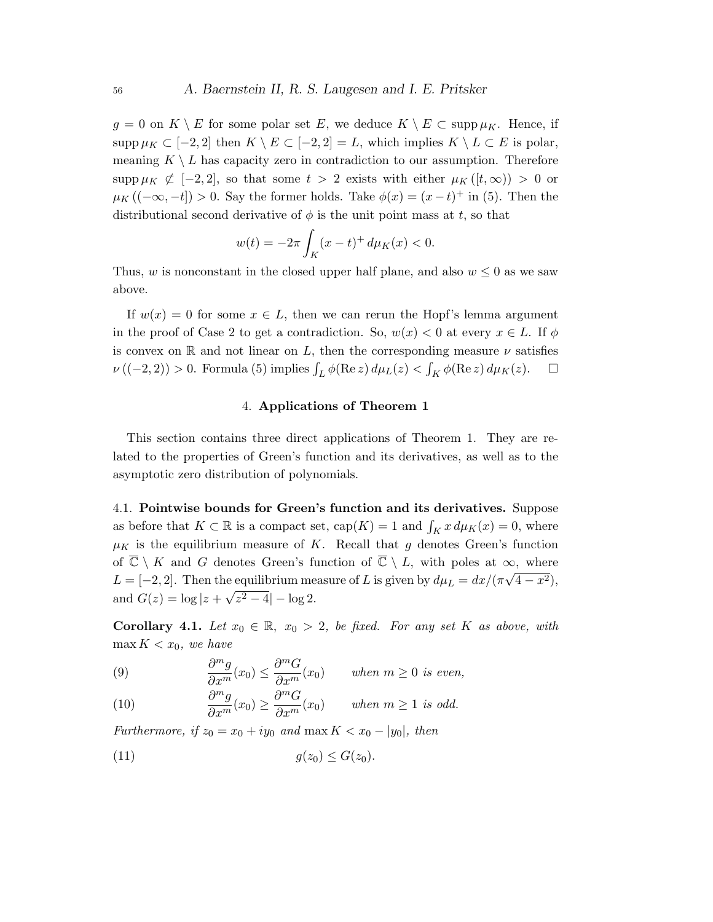$g = 0$  on  $K \setminus E$  for some polar set E, we deduce  $K \setminus E \subset \text{supp}\,\mu_K$ . Hence, if supp  $\mu_K \subset [-2,2]$  then  $K \setminus E \subset [-2,2] = L$ , which implies  $K \setminus L \subset E$  is polar, meaning  $K \setminus L$  has capacity zero in contradiction to our assumption. Therefore supp  $\mu_K \nsubseteq [-2, 2]$ , so that some  $t > 2$  exists with either  $\mu_K([t, \infty)) > 0$  or  $\mu_K((-\infty, -t]) > 0$ . Say the former holds. Take  $\phi(x) = (x-t)^+$  in (5). Then the distributional second derivative of  $\phi$  is the unit point mass at t, so that

$$
w(t) = -2\pi \int_K (x - t)^+ d\mu_K(x) < 0.
$$

Thus, w is nonconstant in the closed upper half plane, and also  $w \leq 0$  as we saw above.

If  $w(x) = 0$  for some  $x \in L$ , then we can rerun the Hopf's lemma argument in the proof of Case 2 to get a contradiction. So,  $w(x) < 0$  at every  $x \in L$ . If  $\phi$ is convex on R and not linear on L, then the corresponding measure  $\nu$  satisfies  $\nu((-2,2)) > 0$ . Formula (5) implies  $\int_L \phi(\text{Re } z) d\mu_L(z) < \int_K \phi(\text{Re } z) d\mu_K(z)$ .  $\Box$ 

#### 4. Applications of Theorem 1

This section contains three direct applications of Theorem 1. They are related to the properties of Green's function and its derivatives, as well as to the asymptotic zero distribution of polynomials.

4.1. Pointwise bounds for Green's function and its derivatives. Suppose as before that  $K \subset \mathbb{R}$  is a compact set,  $cap(K) = 1$  and  $\int_K x \, d\mu_K(x) = 0$ , where  $\mu_K$  is the equilibrium measure of K. Recall that g denotes Green's function of  $\overline{\mathbb{C}} \setminus K$  and G denotes Green's function of  $\overline{\mathbb{C}} \setminus L$ , with poles at  $\infty$ , where  $L = [-2, 2]$ . Then the equilibrium measure of L is given by  $d\mu_L = dx/(\pi\sqrt{4-x^2})$ , and  $G(z) = \log |z + \sqrt{z^2 - 4}| - \log 2$ .

**Corollary 4.1.** Let  $x_0 \in \mathbb{R}$ ,  $x_0 > 2$ , be fixed. For any set K as above, with  $\max K$  <  $x_0$ , we have

(9) 
$$
\frac{\partial^m g}{\partial x^m}(x_0) \le \frac{\partial^m G}{\partial x^m}(x_0) \quad \text{when } m \ge 0 \text{ is even,}
$$

(10) 
$$
\frac{\partial^m g}{\partial x^m}(x_0) \ge \frac{\partial^m G}{\partial x^m}(x_0) \quad \text{when } m \ge 1 \text{ is odd.}
$$

Furthermore, if  $z_0 = x_0 + iy_0$  and  $\max K < x_0 - |y_0|$ , then

$$
(11) \t\t g(z_0) \le G(z_0).
$$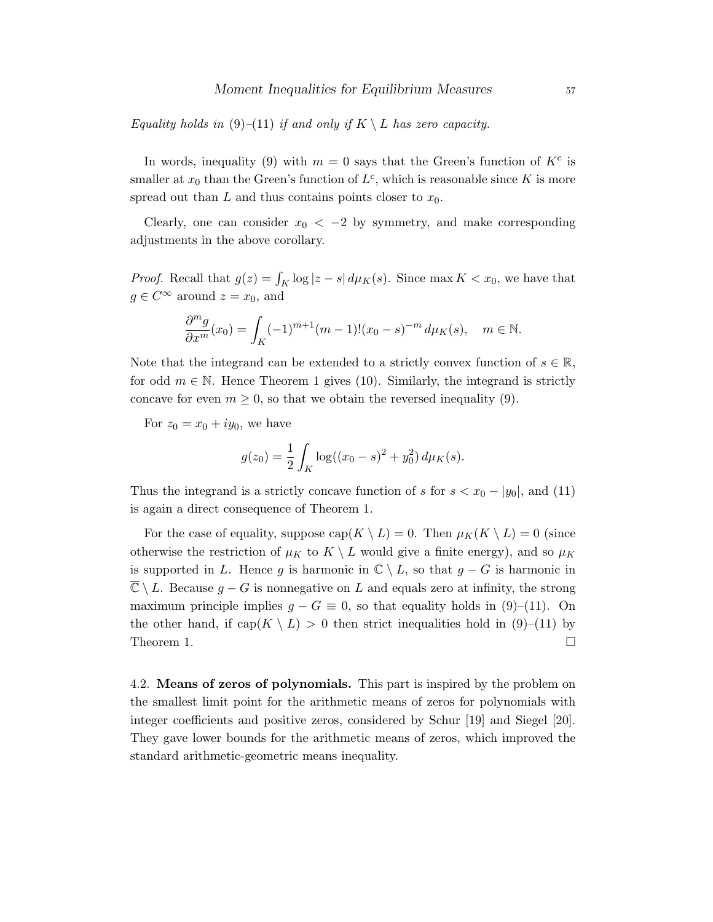Equality holds in (9)–(11) if and only if  $K \setminus L$  has zero capacity.

In words, inequality (9) with  $m = 0$  says that the Green's function of  $K<sup>c</sup>$  is smaller at  $x_0$  than the Green's function of  $L^c$ , which is reasonable since K is more spread out than  $L$  and thus contains points closer to  $x_0$ .

Clearly, one can consider  $x_0 < -2$  by symmetry, and make corresponding adjustments in the above corollary.

*Proof.* Recall that  $g(z) = \int_K \log|z - s| d\mu_K(s)$ . Since max  $K < x_0$ , we have that  $g \in C^{\infty}$  around  $z = x_0$ , and

$$
\frac{\partial^m g}{\partial x^m}(x_0) = \int_K (-1)^{m+1} (m-1)!(x_0 - s)^{-m} d\mu_K(s), \quad m \in \mathbb{N}.
$$

Note that the integrand can be extended to a strictly convex function of  $s \in \mathbb{R}$ , for odd  $m \in \mathbb{N}$ . Hence Theorem 1 gives (10). Similarly, the integrand is strictly concave for even  $m \geq 0$ , so that we obtain the reversed inequality (9).

For  $z_0 = x_0 + iy_0$ , we have

$$
g(z_0) = \frac{1}{2} \int_K \log((x_0 - s)^2 + y_0^2) d\mu_K(s).
$$

Thus the integrand is a strictly concave function of s for  $s < x_0 - |y_0|$ , and (11) is again a direct consequence of Theorem 1.

For the case of equality, suppose  $\text{cap}(K \setminus L) = 0$ . Then  $\mu_K(K \setminus L) = 0$  (since otherwise the restriction of  $\mu_K$  to  $K \setminus L$  would give a finite energy), and so  $\mu_K$ is supported in L. Hence g is harmonic in  $\mathbb{C} \setminus L$ , so that  $g - G$  is harmonic in  $\overline{\mathbb{C}} \setminus L$ . Because  $g - G$  is nonnegative on L and equals zero at infinity, the strong maximum principle implies  $g - G \equiv 0$ , so that equality holds in (9)–(11). On the other hand, if  $cap(K \setminus L) > 0$  then strict inequalities hold in (9)–(11) by Theorem 1.  $\Box$ 

4.2. Means of zeros of polynomials. This part is inspired by the problem on the smallest limit point for the arithmetic means of zeros for polynomials with integer coefficients and positive zeros, considered by Schur [19] and Siegel [20]. They gave lower bounds for the arithmetic means of zeros, which improved the standard arithmetic-geometric means inequality.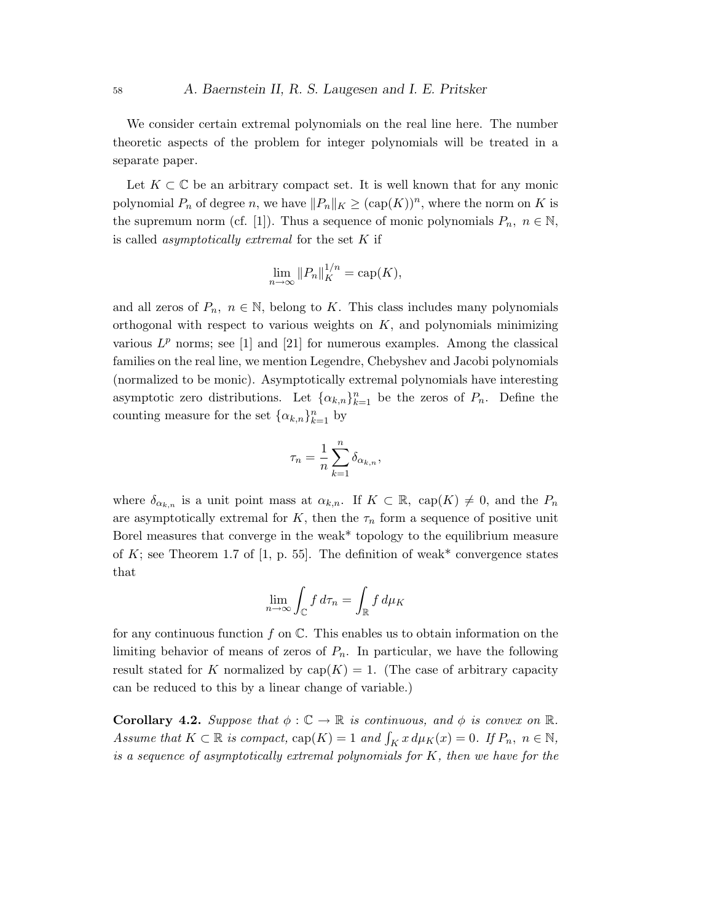We consider certain extremal polynomials on the real line here. The number theoretic aspects of the problem for integer polynomials will be treated in a separate paper.

Let  $K \subset \mathbb{C}$  be an arbitrary compact set. It is well known that for any monic polynomial  $P_n$  of degree n, we have  $||P_n||_K \geq (\text{cap}(K))^n$ , where the norm on K is the supremum norm (cf. [1]). Thus a sequence of monic polynomials  $P_n$ ,  $n \in \mathbb{N}$ , is called *asymptotically extremal* for the set  $K$  if

$$
\lim_{n \to \infty} ||P_n||_K^{1/n} = \text{cap}(K),
$$

and all zeros of  $P_n$ ,  $n \in \mathbb{N}$ , belong to K. This class includes many polynomials orthogonal with respect to various weights on  $K$ , and polynomials minimizing various  $L^p$  norms; see [1] and [21] for numerous examples. Among the classical families on the real line, we mention Legendre, Chebyshev and Jacobi polynomials (normalized to be monic). Asymptotically extremal polynomials have interesting asymptotic zero distributions. Let  $\{\alpha_{k,n}\}_{k=1}^n$  be the zeros of  $P_n$ . Define the counting measure for the set  $\{\alpha_{k,n}\}_{k=1}^n$  by

$$
\tau_n = \frac{1}{n} \sum_{k=1}^n \delta_{\alpha_{k,n}},
$$

where  $\delta_{\alpha_{k,n}}$  is a unit point mass at  $\alpha_{k,n}$ . If  $K \subset \mathbb{R}$ ,  $cap(K) \neq 0$ , and the  $P_n$ are asymptotically extremal for K, then the  $\tau_n$  form a sequence of positive unit Borel measures that converge in the weak\* topology to the equilibrium measure of K; see Theorem 1.7 of [1, p. 55]. The definition of weak\* convergence states that

$$
\lim_{n \to \infty} \int_{\mathbb{C}} f \, d\tau_n = \int_{\mathbb{R}} f \, d\mu_K
$$

for any continuous function f on  $\mathbb C$ . This enables us to obtain information on the limiting behavior of means of zeros of  $P_n$ . In particular, we have the following result stated for K normalized by  $cap(K) = 1$ . (The case of arbitrary capacity can be reduced to this by a linear change of variable.)

**Corollary 4.2.** Suppose that  $\phi : \mathbb{C} \to \mathbb{R}$  is continuous, and  $\phi$  is convex on  $\mathbb{R}$ . Assume that  $K \subset \mathbb{R}$  is compact,  $cap(K) = 1$  and  $\int_K x \, d\mu_K(x) = 0$ . If  $P_n$ ,  $n \in \mathbb{N}$ , is a sequence of asymptotically extremal polynomials for  $K$ , then we have for the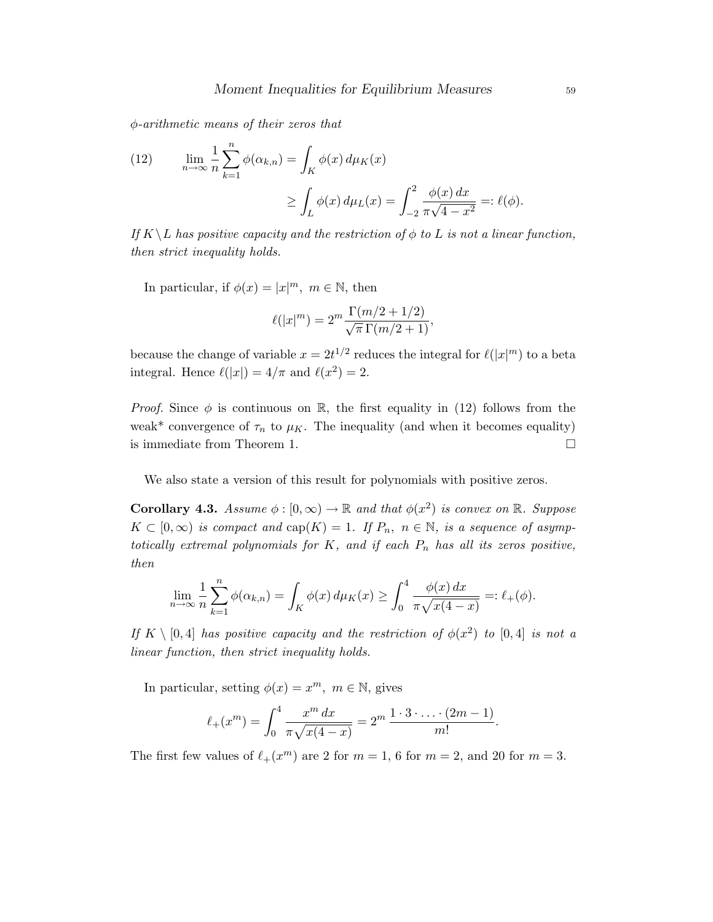φ-arithmetic means of their zeros that

(12) 
$$
\lim_{n \to \infty} \frac{1}{n} \sum_{k=1}^{n} \phi(\alpha_{k,n}) = \int_{K} \phi(x) d\mu_{K}(x)
$$

$$
\geq \int_{L} \phi(x) d\mu_{L}(x) = \int_{-2}^{2} \frac{\phi(x) dx}{\pi \sqrt{4 - x^{2}}} =: \ell(\phi).
$$

If  $K \backslash L$  has positive capacity and the restriction of  $\phi$  to L is not a linear function, then strict inequality holds.

In particular, if  $\phi(x) = |x|^m$ ,  $m \in \mathbb{N}$ , then

$$
\ell(|x|^m) = 2^m \frac{\Gamma(m/2 + 1/2)}{\sqrt{\pi} \Gamma(m/2 + 1)},
$$

because the change of variable  $x = 2t^{1/2}$  reduces the integral for  $\ell(|x|^m)$  to a beta integral. Hence  $\ell(|x|) = 4/\pi$  and  $\ell(x^2) = 2$ .

*Proof.* Since  $\phi$  is continuous on R, the first equality in (12) follows from the weak\* convergence of  $\tau_n$  to  $\mu_K$ . The inequality (and when it becomes equality) is immediate from Theorem 1.

We also state a version of this result for polynomials with positive zeros.

**Corollary 4.3.** Assume  $\phi : [0, \infty) \to \mathbb{R}$  and that  $\phi(x^2)$  is convex on  $\mathbb{R}$ . Suppose  $K \subset [0,\infty)$  is compact and  $\text{cap}(K) = 1$ . If  $P_n$ ,  $n \in \mathbb{N}$ , is a sequence of asymptotically extremal polynomials for  $K$ , and if each  $P_n$  has all its zeros positive, then

$$
\lim_{n \to \infty} \frac{1}{n} \sum_{k=1}^{n} \phi(\alpha_{k,n}) = \int_{K} \phi(x) d\mu_K(x) \ge \int_0^4 \frac{\phi(x) dx}{\pi \sqrt{x(4-x)}} =: \ell_+(\phi).
$$

If  $K \setminus [0,4]$  has positive capacity and the restriction of  $\phi(x^2)$  to  $[0,4]$  is not a linear function, then strict inequality holds.

In particular, setting  $\phi(x) = x^m$ ,  $m \in \mathbb{N}$ , gives

$$
\ell_+(x^m) = \int_0^4 \frac{x^m \, dx}{\pi \sqrt{x(4-x)}} = 2^m \frac{1 \cdot 3 \cdot \ldots \cdot (2m-1)}{m!}.
$$

The first few values of  $\ell_+(x^m)$  are 2 for  $m = 1, 6$  for  $m = 2$ , and 20 for  $m = 3$ .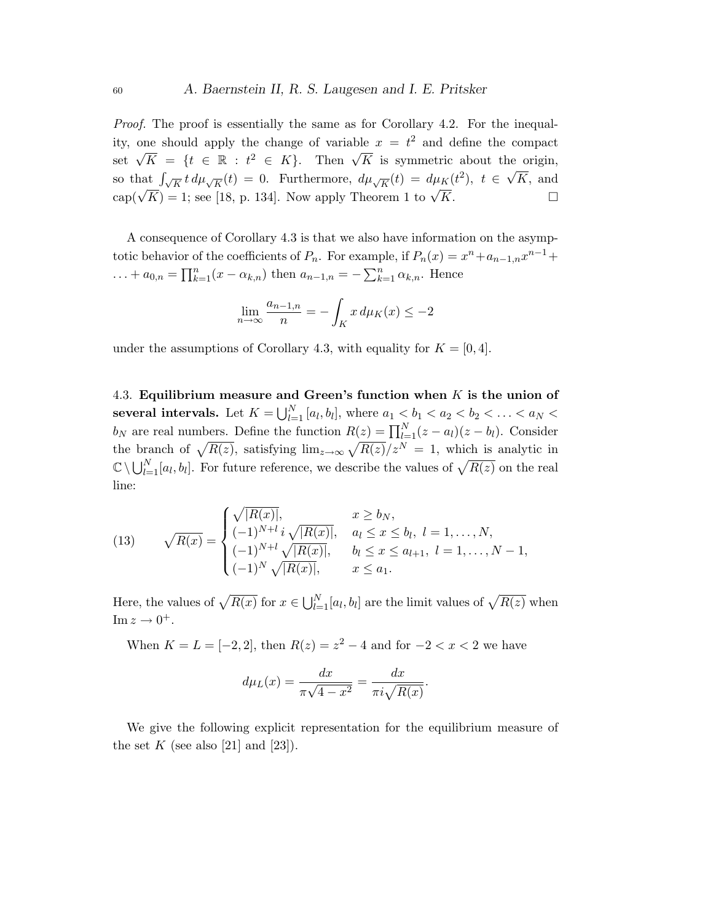Proof. The proof is essentially the same as for Corollary 4.2. For the inequality, one should apply the change of variable  $x = t^2$  and define the compact set  $\sqrt{K} = \{t \in \mathbb{R} : t^2 \in K\}$ . Then  $\sqrt{K}$  is symmetric about the origin, so that  $\int_{\sqrt{K}} t \, d\mu_{\sqrt{K}}(t) = 0$ . Furthermore,  $d\mu_{\sqrt{K}}(t) = d\mu_K(t^2)$ ,  $t \in$ √ K, and cap( $\sqrt{K}$ ) = 1; see [18, p. 134]. Now apply Theorem 1 to  $\sqrt{K}$ .

A consequence of Corollary 4.3 is that we also have information on the asymptotic behavior of the coefficients of  $P_n$ . For example, if  $P_n(x) = x^n + a_{n-1,n}x^{n-1} +$ ... +  $a_{0,n} = \prod_{k=1}^{n} (x - \alpha_{k,n})$  then  $a_{n-1,n} = -\sum_{k=1}^{n} \alpha_{k,n}$ . Hence

$$
\lim_{n \to \infty} \frac{a_{n-1,n}}{n} = -\int_K x \, d\mu_K(x) \le -2
$$

under the assumptions of Corollary 4.3, with equality for  $K = [0, 4]$ .

4.3. Equilibrium measure and Green's function when  $K$  is the union of several intervals. Let  $K = \bigcup_{l=1}^{N} [a_l, b_l]$ , where  $a_1 < b_1 < a_2 < b_2 < \ldots < a_N <$  $b_N$  are real numbers. Define the function  $R(z) = \prod_{l=1}^{N} (z - a_l)(z - b_l)$ . Consider the branch of  $\sqrt{R(z)}$ , satisfying  $\lim_{z\to\infty} \sqrt{R(z)}/z^N = 1$ , which is analytic in  $\mathbb{C}\setminus\bigcup_{l=1}^N [a_l,b_l].$  For future reference, we describe the values of  $\sqrt{R(z)}$  on the real line:

(13) 
$$
\sqrt{R(x)} = \begin{cases} \sqrt{|R(x)|}, & x \ge b_N, \\ (-1)^{N+l} i \sqrt{|R(x)|}, & a_l \le x \le b_l, l = 1, ..., N, \\ (-1)^{N+l} \sqrt{|R(x)|}, & b_l \le x \le a_{l+1}, l = 1, ..., N-1, \\ (-1)^N \sqrt{|R(x)|}, & x \le a_1. \end{cases}
$$

Here, the values of  $\sqrt{R(x)}$  for  $x \in \bigcup_{l=1}^{N} [a_l, b_l]$  are the limit values of  $\sqrt{R(z)}$  when Im  $z \to 0^+$ .

When  $K = L = [-2, 2]$ , then  $R(z) = z^2 - 4$  and for  $-2 < x < 2$  we have

$$
d\mu_L(x) = \frac{dx}{\pi\sqrt{4 - x^2}} = \frac{dx}{\pi i \sqrt{R(x)}}.
$$

We give the following explicit representation for the equilibrium measure of the set K (see also [21] and [23]).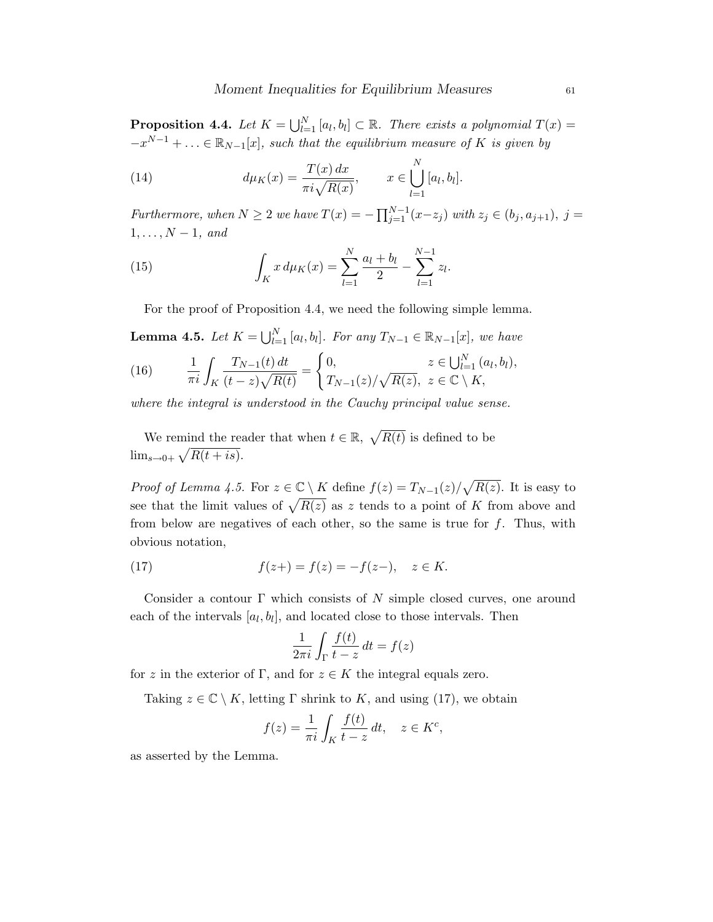**Proposition 4.4.** Let  $K = \bigcup_{l=1}^{N} [a_l, b_l] \subset \mathbb{R}$ . There exists a polynomial  $T(x) =$  $-x^{N-1}+\ldots \in \mathbb{R}_{N-1}[x]$ , such that the equilibrium measure of K is given by

(14) 
$$
d\mu_K(x) = \frac{T(x) dx}{\pi i \sqrt{R(x)}}, \qquad x \in \bigcup_{l=1}^N [a_l, b_l].
$$

Furthermore, when  $N \geq 2$  we have  $T(x) = -\prod_{j=1}^{N-1} (x - z_j)$  with  $z_j \in (b_j, a_{j+1}), j =$  $1, \ldots, N-1, \text{ and}$ 

(15) 
$$
\int_{K} x d\mu_{K}(x) = \sum_{l=1}^{N} \frac{a_{l} + b_{l}}{2} - \sum_{l=1}^{N-1} z_{l}.
$$

For the proof of Proposition 4.4, we need the following simple lemma.

**Lemma 4.5.** Let  $K = \bigcup_{l=1}^{N} [a_l, b_l]$ . For any  $T_{N-1} \in \mathbb{R}_{N-1}[x]$ , we have

(16) 
$$
\frac{1}{\pi i} \int_K \frac{T_{N-1}(t) dt}{(t-z)\sqrt{R(t)}} = \begin{cases} 0, & z \in \bigcup_{l=1}^N (a_l, b_l), \\ T_{N-1}(z)/\sqrt{R(z)}, & z \in \mathbb{C} \setminus K, \end{cases}
$$

where the integral is understood in the Cauchy principal value sense.

We remind the reader that when  $t \in \mathbb{R}$ ,  $\sqrt{R(t)}$  is defined to be  $\lim_{s\to 0+} \sqrt{R(t+is)}.$ 

*Proof of Lemma 4.5.* For  $z \in \mathbb{C} \setminus K$  define  $f(z) = T_{N-1}(z)/\sqrt{R(z)}$ . It is easy to see that the limit values of  $\sqrt{R(z)}$  as z tends to a point of K from above and from below are negatives of each other, so the same is true for  $f$ . Thus, with obvious notation,

(17) 
$$
f(z+) = f(z) = -f(z-), \quad z \in K.
$$

Consider a contour  $\Gamma$  which consists of N simple closed curves, one around each of the intervals  $[a_l, b_l]$ , and located close to those intervals. Then

$$
\frac{1}{2\pi i} \int_{\Gamma} \frac{f(t)}{t - z} dt = f(z)
$$

for z in the exterior of Γ, and for  $z \in K$  the integral equals zero.

Taking  $z \in \mathbb{C} \setminus K$ , letting  $\Gamma$  shrink to K, and using (17), we obtain

$$
f(z) = \frac{1}{\pi i} \int_K \frac{f(t)}{t - z} dt, \quad z \in K^c,
$$

as asserted by the Lemma.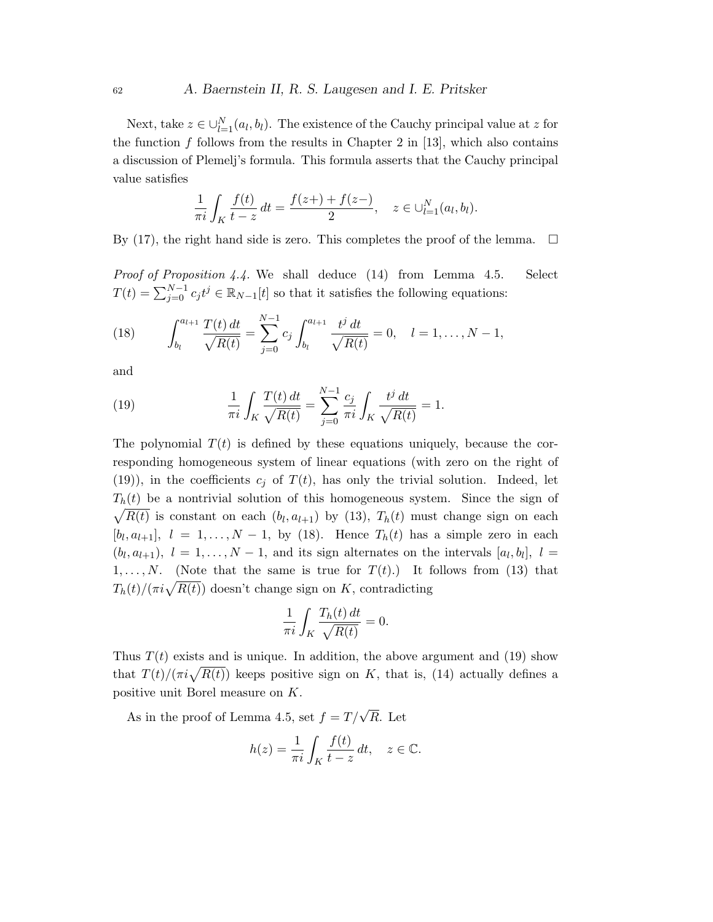### <sup>62</sup> A. Baernstein II, R. S. Laugesen and I. E. Pritsker

Next, take  $z \in \bigcup_{l=1}^{N} (a_l, b_l)$ . The existence of the Cauchy principal value at z for the function f follows from the results in Chapter 2 in [13], which also contains a discussion of Plemelj's formula. This formula asserts that the Cauchy principal value satisfies

$$
\frac{1}{\pi i} \int_K \frac{f(t)}{t - z} dt = \frac{f(z+) + f(z-)}{2}, \quad z \in \bigcup_{l=1}^N (a_l, b_l).
$$

By (17), the right hand side is zero. This completes the proof of the lemma.  $\square$ 

Proof of Proposition 4.4. We shall deduce (14) from Lemma 4.5. Select  $T(t) = \sum_{j=0}^{N-1} c_j t^j \in \mathbb{R}_{N-1}[t]$  so that it satisfies the following equations:

(18) 
$$
\int_{b_l}^{a_{l+1}} \frac{T(t) dt}{\sqrt{R(t)}} = \sum_{j=0}^{N-1} c_j \int_{b_l}^{a_{l+1}} \frac{t^j dt}{\sqrt{R(t)}} = 0, \quad l = 1, ..., N-1,
$$

and

(19) 
$$
\frac{1}{\pi i} \int_K \frac{T(t) dt}{\sqrt{R(t)}} = \sum_{j=0}^{N-1} \frac{c_j}{\pi i} \int_K \frac{t^j dt}{\sqrt{R(t)}} = 1.
$$

The polynomial  $T(t)$  is defined by these equations uniquely, because the corresponding homogeneous system of linear equations (with zero on the right of (19)), in the coefficients  $c_i$  of  $T(t)$ , has only the trivial solution. Indeed, let  $T_h(t)$  be a nontrivial solution of this homogeneous system. Since the sign of  $\sqrt{R(t)}$  is constant on each  $(b_l, a_{l+1})$  by (13),  $T_h(t)$  must change sign on each  $[b_l, a_{l+1}], l = 1, \ldots, N-1$ , by (18). Hence  $T_h(t)$  has a simple zero in each  $(b_l, a_{l+1}), l = 1, \ldots, N-1$ , and its sign alternates on the intervals  $[a_l, b_l], l =$ 1,..., N. (Note that the same is true for  $T(t)$ .) It follows from (13) that  $T_h(t)/(\pi i \sqrt{R(t)})$  doesn't change sign on K, contradicting

$$
\frac{1}{\pi i} \int_K \frac{T_h(t) dt}{\sqrt{R(t)}} = 0.
$$

Thus  $T(t)$  exists and is unique. In addition, the above argument and (19) show that  $T(t)/(\pi i \sqrt{R(t)})$  keeps positive sign on K, that is, (14) actually defines a positive unit Borel measure on K.

As in the proof of Lemma 4.5, set  $f = T/\sqrt{R}$ . Let

$$
h(z) = \frac{1}{\pi i} \int_K \frac{f(t)}{t - z} dt, \quad z \in \mathbb{C}.
$$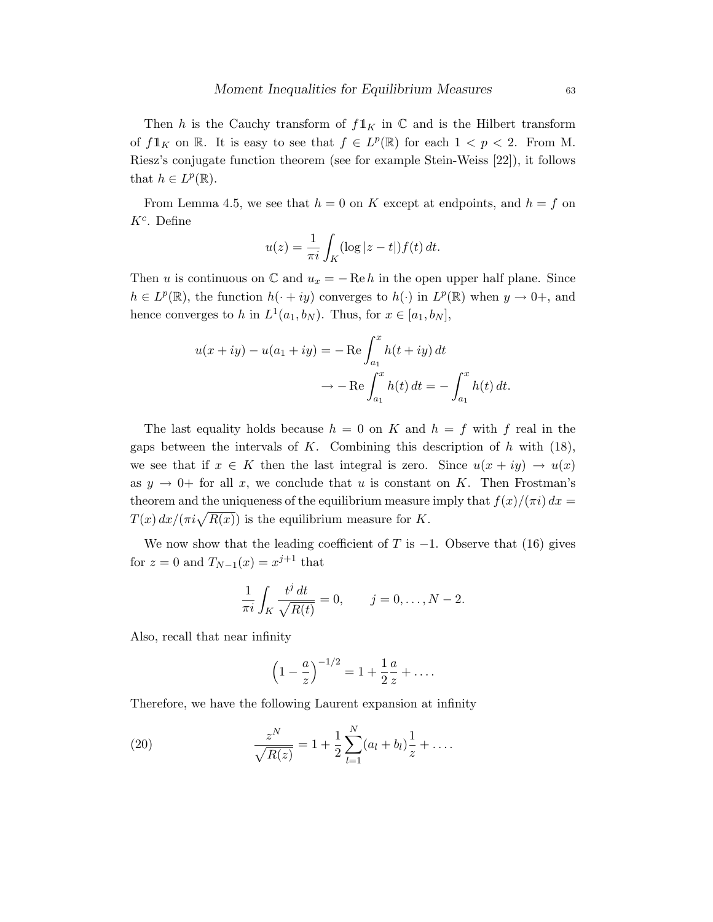Then h is the Cauchy transform of  $f1_K$  in  $\mathbb C$  and is the Hilbert transform of  $f\mathbb{1}_K$  on  $\mathbb{R}$ . It is easy to see that  $f \in L^p(\mathbb{R})$  for each  $1 < p < 2$ . From M. Riesz's conjugate function theorem (see for example Stein-Weiss [22]), it follows that  $h \in L^p(\mathbb{R})$ .

From Lemma 4.5, we see that  $h = 0$  on K except at endpoints, and  $h = f$  on  $K^c$ . Define

$$
u(z) = \frac{1}{\pi i} \int_K (\log|z - t|) f(t) dt.
$$

Then u is continuous on  $\mathbb C$  and  $u_x = -\operatorname{Re} h$  in the open upper half plane. Since  $h \in L^p(\mathbb{R})$ , the function  $h(\cdot + iy)$  converges to  $h(\cdot)$  in  $L^p(\mathbb{R})$  when  $y \to 0^+$ , and hence converges to h in  $L^1(a_1, b_N)$ . Thus, for  $x \in [a_1, b_N]$ ,

$$
u(x+iy) - u(a_1+iy) = -\operatorname{Re}\int_{a_1}^x h(t+iy) dt
$$

$$
\to -\operatorname{Re}\int_{a_1}^x h(t) dt = -\int_{a_1}^x h(t) dt.
$$

The last equality holds because  $h = 0$  on K and  $h = f$  with f real in the gaps between the intervals of K. Combining this description of  $h$  with (18), we see that if  $x \in K$  then the last integral is zero. Since  $u(x + iy) \to u(x)$ as  $y \to 0^+$  for all x, we conclude that u is constant on K. Then Frostman's theorem and the uniqueness of the equilibrium measure imply that  $f(x)/(\pi i) dx =$  $T(x) dx/(\pi i \sqrt{R(x)})$  is the equilibrium measure for K.

We now show that the leading coefficient of T is  $-1$ . Observe that (16) gives for  $z = 0$  and  $T_{N-1}(x) = x^{j+1}$  that

$$
\frac{1}{\pi i} \int_K \frac{t^j dt}{\sqrt{R(t)}} = 0, \qquad j = 0, \dots, N-2.
$$

Also, recall that near infinity

$$
\left(1 - \frac{a}{z}\right)^{-1/2} = 1 + \frac{1}{2} \frac{a}{z} + \dots
$$

Therefore, we have the following Laurent expansion at infinity

(20) 
$$
\frac{z^N}{\sqrt{R(z)}} = 1 + \frac{1}{2} \sum_{l=1}^N (a_l + b_l) \frac{1}{z} + \dots
$$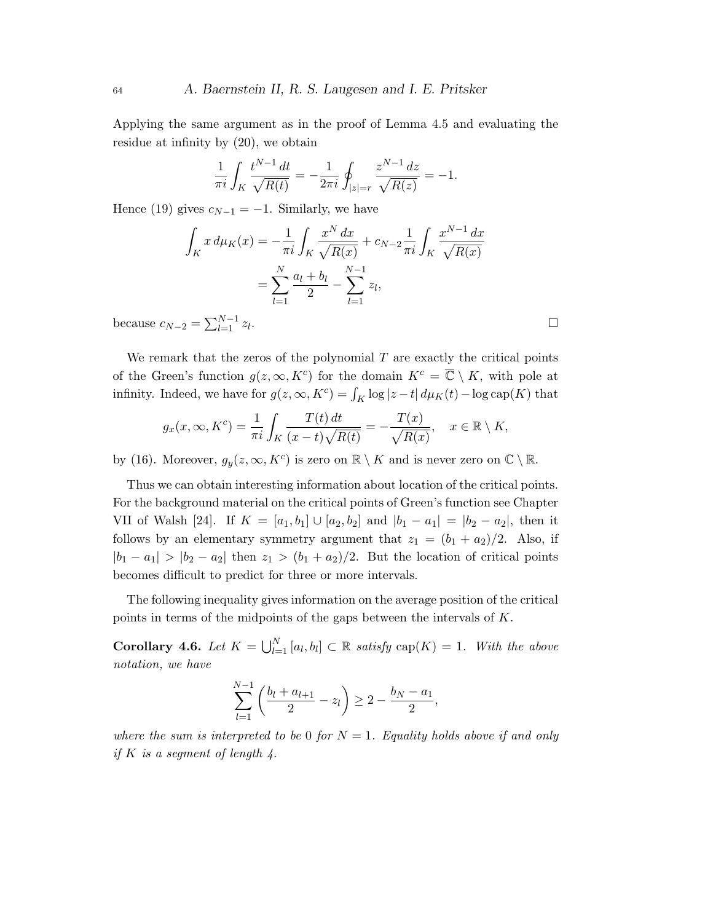Applying the same argument as in the proof of Lemma 4.5 and evaluating the residue at infinity by (20), we obtain

$$
\frac{1}{\pi i} \int_K \frac{t^{N-1} dt}{\sqrt{R(t)}} = -\frac{1}{2\pi i} \oint_{|z|=r} \frac{z^{N-1} dz}{\sqrt{R(z)}} = -1.
$$

Hence (19) gives  $c_{N-1} = -1$ . Similarly, we have

$$
\int_{K} x d\mu_{K}(x) = -\frac{1}{\pi i} \int_{K} \frac{x^{N} dx}{\sqrt{R(x)}} + c_{N-2} \frac{1}{\pi i} \int_{K} \frac{x^{N-1} dx}{\sqrt{R(x)}} \n= \sum_{l=1}^{N} \frac{a_{l} + b_{l}}{2} - \sum_{l=1}^{N-1} z_{l}, \n= \sum_{l=1}^{N-1} z_{l}.
$$

because  $c_{N-2} = \sum_{l=1}^{N-1} z_l$ 

We remark that the zeros of the polynomial  $T$  are exactly the critical points of the Green's function  $g(z,\infty,K^c)$  for the domain  $K^c = \overline{\mathbb{C}} \setminus K$ , with pole at infinity. Indeed, we have for  $g(z, \infty, K^c) = \int_K \log |z - t| d\mu_K(t) - \log \text{cap}(K)$  that

$$
g_x(x,\infty, K^c) = \frac{1}{\pi i} \int_K \frac{T(t) dt}{(x-t)\sqrt{R(t)}} = -\frac{T(x)}{\sqrt{R(x)}}, \quad x \in \mathbb{R} \setminus K,
$$

by (16). Moreover,  $g_y(z, \infty, K^c)$  is zero on  $\mathbb{R} \setminus K$  and is never zero on  $\mathbb{C} \setminus \mathbb{R}$ .

Thus we can obtain interesting information about location of the critical points. For the background material on the critical points of Green's function see Chapter VII of Walsh [24]. If  $K = [a_1, b_1] \cup [a_2, b_2]$  and  $|b_1 - a_1| = |b_2 - a_2|$ , then it follows by an elementary symmetry argument that  $z_1 = (b_1 + a_2)/2$ . Also, if  $|b_1 - a_1| > |b_2 - a_2|$  then  $z_1 > (b_1 + a_2)/2$ . But the location of critical points becomes difficult to predict for three or more intervals.

The following inequality gives information on the average position of the critical points in terms of the midpoints of the gaps between the intervals of K.

**Corollary 4.6.** Let  $K = \bigcup_{l=1}^{N} [a_l, b_l] \subset \mathbb{R}$  satisfy  $\text{cap}(K) = 1$ . With the above notation, we have

$$
\sum_{l=1}^{N-1} \left( \frac{b_l + a_{l+1}}{2} - z_l \right) \ge 2 - \frac{b_N - a_1}{2},
$$

where the sum is interpreted to be 0 for  $N = 1$ . Equality holds above if and only if K is a segment of length  $\ddot{4}$ .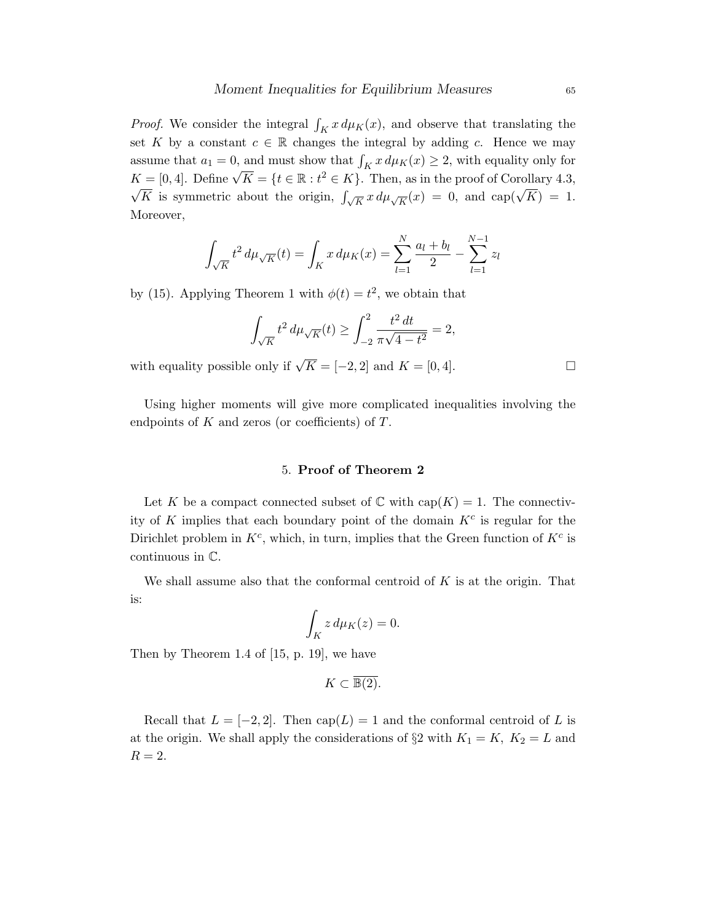*Proof.* We consider the integral  $\int_K x \, d\mu_K(x)$ , and observe that translating the set K by a constant  $c \in \mathbb{R}$  changes the integral by adding c. Hence we may assume that  $a_1 = 0$ , and must show that  $\int_K x \, d\mu_K(x) \geq 2$ , with equality only for assume that  $u_1 = 0$ , and must show that  $f_K x u \mu_K(x) \ge 2$ , with equality only for  $K = [0, 4]$ . Define  $\sqrt{K} = \{t \in \mathbb{R} : t^2 \in K\}$ . Then, as in the proof of Corollary 4.3,  $K$  is symmetric about the origin,  $\int_{\sqrt{K}} x d\mu_{\sqrt{K}}(x) = 0$ , and cap( $\sqrt{K}$ ) = 1. Moreover,

$$
\int_{\sqrt{K}} t^2 d\mu_{\sqrt{K}}(t) = \int_K x d\mu_K(x) = \sum_{l=1}^N \frac{a_l + b_l}{2} - \sum_{l=1}^{N-1} z_l
$$

by (15). Applying Theorem 1 with  $\phi(t) = t^2$ , we obtain that

$$
\int_{\sqrt{K}} t^2 d\mu_{\sqrt{K}}(t) \ge \int_{-2}^2 \frac{t^2 dt}{\pi \sqrt{4 - t^2}} = 2,
$$

with equality possible only if  $\sqrt{K} = [-2, 2]$  and  $K = [0, 4]$ .

Using higher moments will give more complicated inequalities involving the endpoints of  $K$  and zeros (or coefficients) of  $T$ .

#### 5. Proof of Theorem 2

Let K be a compact connected subset of  $\mathbb C$  with  $cap(K) = 1$ . The connectivity of K implies that each boundary point of the domain  $K^c$  is regular for the Dirichlet problem in  $K^c$ , which, in turn, implies that the Green function of  $K^c$  is continuous in C.

We shall assume also that the conformal centroid of  $K$  is at the origin. That is:

$$
\int_K z \, d\mu_K(z) = 0.
$$

Then by Theorem 1.4 of [15, p. 19], we have

$$
K \subset \overline{\mathbb{B}(2)}.
$$

Recall that  $L = [-2, 2]$ . Then  $cap(L) = 1$  and the conformal centroid of L is at the origin. We shall apply the considerations of  $\S 2$  with  $K_1 = K$ ,  $K_2 = L$  and  $R=2$ .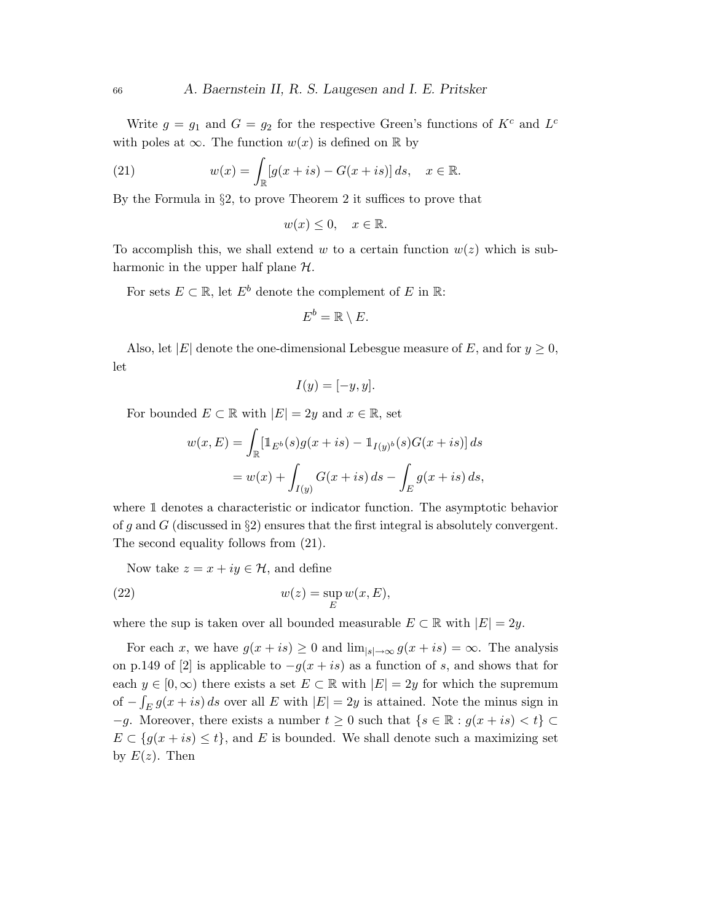Write  $g = g_1$  and  $G = g_2$  for the respective Green's functions of  $K^c$  and  $L^c$ with poles at  $\infty$ . The function  $w(x)$  is defined on R by

(21) 
$$
w(x) = \int_{\mathbb{R}} [g(x+is) - G(x+is)] ds, \quad x \in \mathbb{R}.
$$

By the Formula in §2, to prove Theorem 2 it suffices to prove that

$$
w(x) \le 0, \quad x \in \mathbb{R}.
$$

To accomplish this, we shall extend w to a certain function  $w(z)$  which is subharmonic in the upper half plane  $H$ .

For sets  $E \subset \mathbb{R}$ , let  $E^b$  denote the complement of E in  $\mathbb{R}$ :

$$
E^b = \mathbb{R} \setminus E.
$$

Also, let |E| denote the one-dimensional Lebesgue measure of E, and for  $y \ge 0$ , let

$$
I(y) = [-y, y].
$$

For bounded  $E \subset \mathbb{R}$  with  $|E| = 2y$  and  $x \in \mathbb{R}$ , set

$$
w(x, E) = \int_{\mathbb{R}} [\mathbb{1}_{E^b}(s) g(x+is) - \mathbb{1}_{I(y)^b}(s) G(x+is)] ds
$$
  
= 
$$
w(x) + \int_{I(y)} G(x+is) ds - \int_{E} g(x+is) ds,
$$

where  $\mathbbm{1}$  denotes a characteristic or indicator function. The asymptotic behavior of g and G (discussed in  $\S2$ ) ensures that the first integral is absolutely convergent. The second equality follows from (21).

Now take  $z = x + iy \in \mathcal{H}$ , and define

(22) 
$$
w(z) = \sup_E w(x, E),
$$

where the sup is taken over all bounded measurable  $E \subset \mathbb{R}$  with  $|E| = 2y$ .

For each x, we have  $g(x + is) \ge 0$  and  $\lim_{|s| \to \infty} g(x + is) = \infty$ . The analysis on p.149 of [2] is applicable to  $-g(x+is)$  as a function of s, and shows that for each  $y \in [0, \infty)$  there exists a set  $E \subset \mathbb{R}$  with  $|E| = 2y$  for which the supremum of  $-\int_E g(x+is) ds$  over all E with  $|E|=2y$  is attained. Note the minus sign in  $-g$ . Moreover, there exists a number  $t \geq 0$  such that  $\{s \in \mathbb{R} : g(x + is) < t\} \subset$  $E \subset \{g(x+is) \leq t\}$ , and E is bounded. We shall denote such a maximizing set by  $E(z)$ . Then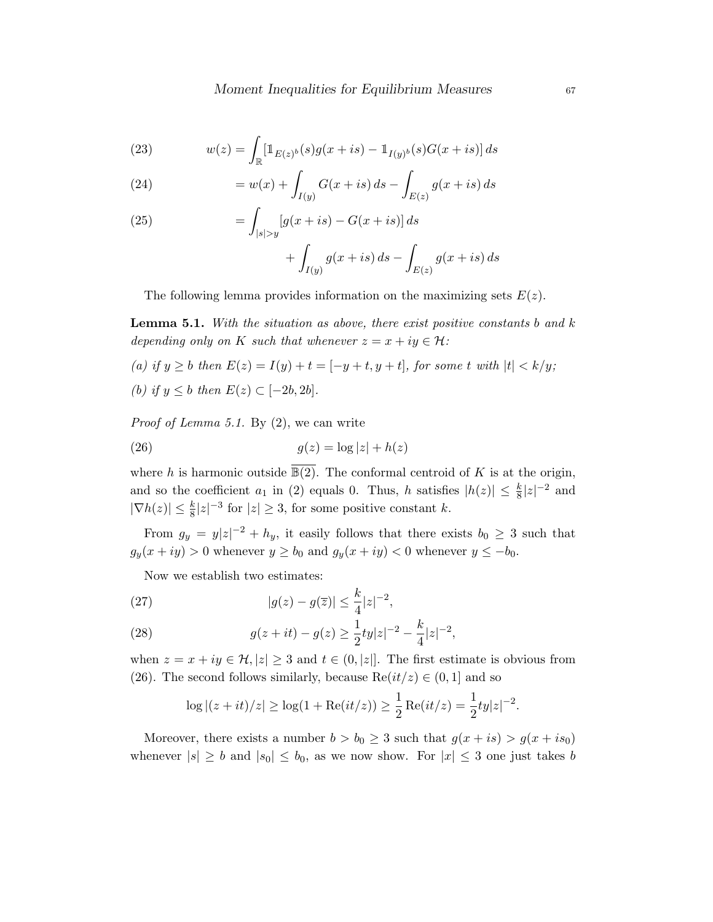(23) 
$$
w(z) = \int_{\mathbb{R}} \left[ \mathbb{1}_{E(z)^b}(s) g(x+is) - \mathbb{1}_{I(y)^b}(s) G(x+is) \right] ds
$$

(24) 
$$
= w(x) + \int_{I(y)} G(x+is) \, ds - \int_{E(z)} g(x+is) \, ds
$$

(25) 
$$
= \int_{|s| > y} [g(x+is) - G(x+is)] ds
$$

$$
+\int_{I(y)} g(x+is) ds - \int_{E(z)} g(x+is) ds
$$

The following lemma provides information on the maximizing sets  $E(z)$ .

**Lemma 5.1.** With the situation as above, there exist positive constants b and  $k$ depending only on K such that whenever  $z = x + iy \in \mathcal{H}$ :

\n- (a) if 
$$
y \ge b
$$
 then  $E(z) = I(y) + t = [-y + t, y + t]$ , for some t with  $|t| < k/y$ ;
\n- (b) if  $y \le b$  then  $E(z) \subset [-2b, 2b]$ .
\n

Proof of Lemma 5.1. By (2), we can write

$$
(26) \t\t g(z) = \log|z| + h(z)
$$

where h is harmonic outside  $\overline{\mathbb{B}(2)}$ . The conformal centroid of K is at the origin, and so the coefficient  $a_1$  in (2) equals 0. Thus, h satisfies  $|h(z)| \leq \frac{k}{8}|z|^{-2}$  and  $|\nabla h(z)| \leq \frac{k}{8}|z|^{-3}$  for  $|z| \geq 3$ , for some positive constant k.

From  $g_y = y|z|^{-2} + hy$ , it easily follows that there exists  $b_0 \geq 3$  such that  $g_y(x+iy) > 0$  whenever  $y \ge b_0$  and  $g_y(x+iy) < 0$  whenever  $y \le -b_0$ .

Now we establish two estimates:

(27) 
$$
|g(z) - g(\overline{z})| \le \frac{k}{4}|z|^{-2}
$$
,

(28) 
$$
g(z+it) - g(z) \geq \frac{1}{2}ty|z|^{-2} - \frac{k}{4}|z|^{-2},
$$

when  $z = x + iy \in \mathcal{H}, |z| \geq 3$  and  $t \in (0, |z|]$ . The first estimate is obvious from (26). The second follows similarly, because  $\text{Re}(it/z) \in (0,1]$  and so

$$
\log|(z+it)/z| \ge \log(1 + \text{Re}(it/z)) \ge \frac{1}{2}\text{Re}(it/z) = \frac{1}{2}ty|z|^{-2}.
$$

Moreover, there exists a number  $b > b_0 \geq 3$  such that  $g(x + is) > g(x + is_0)$ whenever  $|s| \ge b$  and  $|s_0| \le b_0$ , as we now show. For  $|x| \le 3$  one just takes b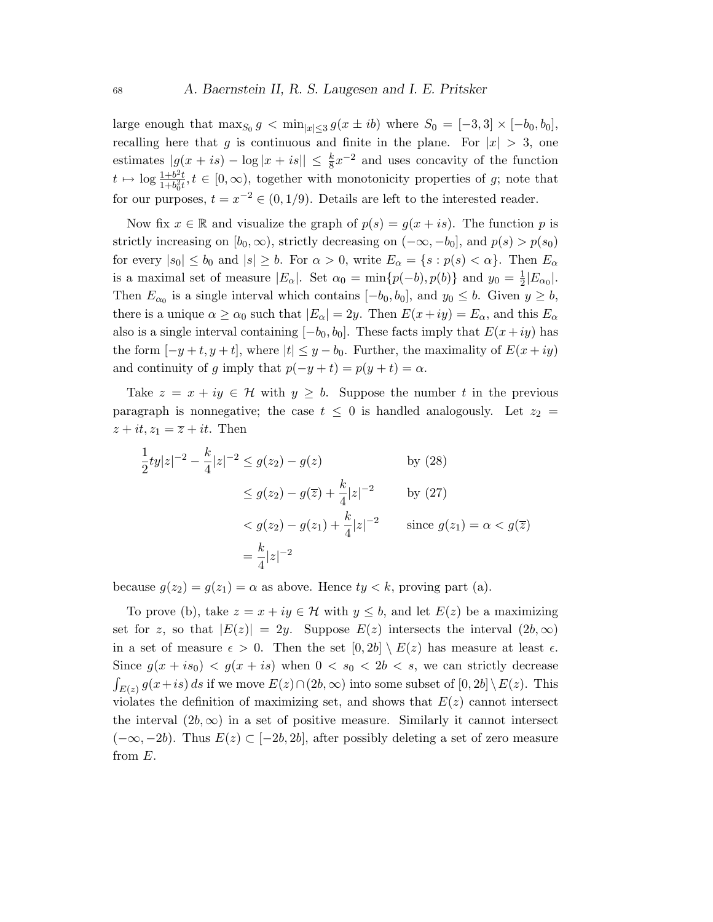large enough that  $\max_{S_0} g < \min_{|x| \leq 3} g(x \pm ib)$  where  $S_0 = [-3, 3] \times [-b_0, b_0],$ recalling here that g is continuous and finite in the plane. For  $|x| > 3$ , one estimates  $|g(x+is) - \log|x+is|| \leq \frac{k}{8}x^{-2}$  and uses concavity of the function  $t \mapsto \log \frac{1+b^2t}{1+b^2t}$  $\frac{1+b^2t}{1+b_0^2t}$ ,  $t \in [0,\infty)$ , together with monotonicity properties of g; note that for our purposes,  $t = x^{-2} \in (0, 1/9)$ . Details are left to the interested reader.

Now fix  $x \in \mathbb{R}$  and visualize the graph of  $p(s) = g(x + is)$ . The function p is strictly increasing on  $[b_0, \infty)$ , strictly decreasing on  $(-\infty, -b_0]$ , and  $p(s) > p(s_0)$ for every  $|s_0| \le b_0$  and  $|s| \ge b$ . For  $\alpha > 0$ , write  $E_\alpha = \{s : p(s) < \alpha\}$ . Then  $E_\alpha$ is a maximal set of measure  $|E_{\alpha}|$ . Set  $\alpha_0 = \min\{p(-b), p(b)\}\$  and  $y_0 = \frac{1}{2}$  $\frac{1}{2}|E_{\alpha_0}|.$ Then  $E_{\alpha_0}$  is a single interval which contains  $[-b_0, b_0]$ , and  $y_0 \leq b$ . Given  $y \geq b$ , there is a unique  $\alpha \ge \alpha_0$  such that  $|E_\alpha| = 2y$ . Then  $E(x+iy) = E_\alpha$ , and this  $E_\alpha$ also is a single interval containing  $[-b_0, b_0]$ . These facts imply that  $E(x+iy)$  has the form  $[-y+t, y+t]$ , where  $|t| \leq y-b_0$ . Further, the maximality of  $E(x+iy)$ and continuity of g imply that  $p(-y + t) = p(y + t) = \alpha$ .

Take  $z = x + iy \in \mathcal{H}$  with  $y \geq b$ . Suppose the number t in the previous paragraph is nonnegative; the case  $t \leq 0$  is handled analogously. Let  $z_2 =$  $z + it$ ,  $z_1 = \overline{z} + it$ . Then

$$
\frac{1}{2}ty|z|^{-2} - \frac{k}{4}|z|^{-2} \le g(z_2) - g(z) \qquad \text{by (28)}
$$
  

$$
\le g(z_2) - g(\overline{z}) + \frac{k}{4}|z|^{-2} \qquad \text{by (27)}
$$
  

$$
< g(z_2) - g(z_1) + \frac{k}{4}|z|^{-2} \qquad \text{since } g(z_1) = \alpha < g(\overline{z})
$$
  

$$
= \frac{k}{4}|z|^{-2}
$$

because  $g(z_2) = g(z_1) = \alpha$  as above. Hence  $ty < k$ , proving part (a).

To prove (b), take  $z = x + iy \in \mathcal{H}$  with  $y \leq b$ , and let  $E(z)$  be a maximizing set for z, so that  $|E(z)| = 2y$ . Suppose  $E(z)$  intersects the interval  $(2b, \infty)$ in a set of measure  $\epsilon > 0$ . Then the set  $[0, 2b] \setminus E(z)$  has measure at least  $\epsilon$ . Since  $g(x+is_0) < g(x+is)$  when  $0 < s_0 < 2b < s$ , we can strictly decrease  $\int_{E(z)} g(x+is) ds$  if we move  $E(z) \cap (2b, \infty)$  into some subset of  $[0, 2b] \setminus E(z)$ . This violates the definition of maximizing set, and shows that  $E(z)$  cannot intersect the interval  $(2b, \infty)$  in a set of positive measure. Similarly it cannot intersect  $(-\infty, -2b)$ . Thus  $E(z) \subset [-2b, 2b]$ , after possibly deleting a set of zero measure from E.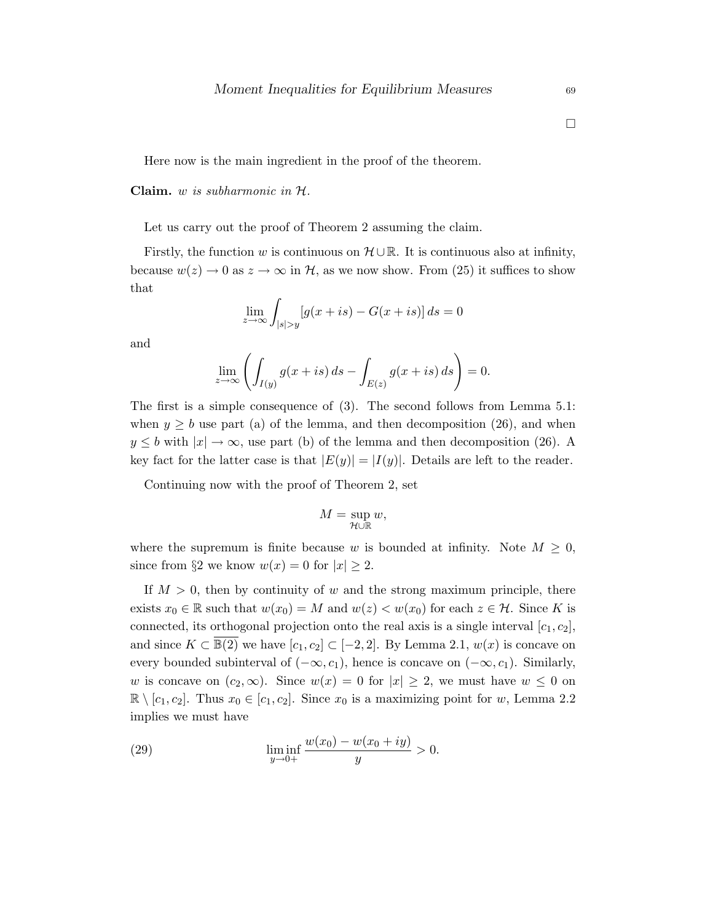$\Box$ 

Here now is the main ingredient in the proof of the theorem.

Claim.  $w$  is subharmonic in  $H$ .

Let us carry out the proof of Theorem 2 assuming the claim.

Firstly, the function w is continuous on  $\mathcal{H} \cup \mathbb{R}$ . It is continuous also at infinity, because  $w(z) \to 0$  as  $z \to \infty$  in H, as we now show. From (25) it suffices to show that

$$
\lim_{z \to \infty} \int_{|s| > y} [g(x+is) - G(x+is)] ds = 0
$$

and

$$
\lim_{z \to \infty} \left( \int_{I(y)} g(x+is) \, ds - \int_{E(z)} g(x+is) \, ds \right) = 0.
$$

The first is a simple consequence of (3). The second follows from Lemma 5.1: when  $y \geq b$  use part (a) of the lemma, and then decomposition (26), and when  $y \leq b$  with  $|x| \to \infty$ , use part (b) of the lemma and then decomposition (26). A key fact for the latter case is that  $|E(y)| = |I(y)|$ . Details are left to the reader.

Continuing now with the proof of Theorem 2, set

$$
M = \sup_{\mathcal{H} \cup \mathbb{R}} w,
$$

where the supremum is finite because w is bounded at infinity. Note  $M \geq 0$ , since from §2 we know  $w(x) = 0$  for  $|x| \ge 2$ .

If  $M > 0$ , then by continuity of w and the strong maximum principle, there exists  $x_0 \in \mathbb{R}$  such that  $w(x_0) = M$  and  $w(z) < w(x_0)$  for each  $z \in \mathcal{H}$ . Since K is connected, its orthogonal projection onto the real axis is a single interval  $[c_1, c_2]$ , and since  $K \subset \overline{\mathbb{B}(2)}$  we have  $[c_1, c_2] \subset [-2, 2]$ . By Lemma 2.1,  $w(x)$  is concave on every bounded subinterval of  $(-\infty, c_1)$ , hence is concave on  $(-\infty, c_1)$ . Similarly, w is concave on  $(c_2,\infty)$ . Since  $w(x) = 0$  for  $|x| \geq 2$ , we must have  $w \leq 0$  on  $\mathbb{R} \setminus [c_1, c_2]$ . Thus  $x_0 \in [c_1, c_2]$ . Since  $x_0$  is a maximizing point for w, Lemma 2.2 implies we must have

(29) 
$$
\liminf_{y \to 0+} \frac{w(x_0) - w(x_0 + iy)}{y} > 0.
$$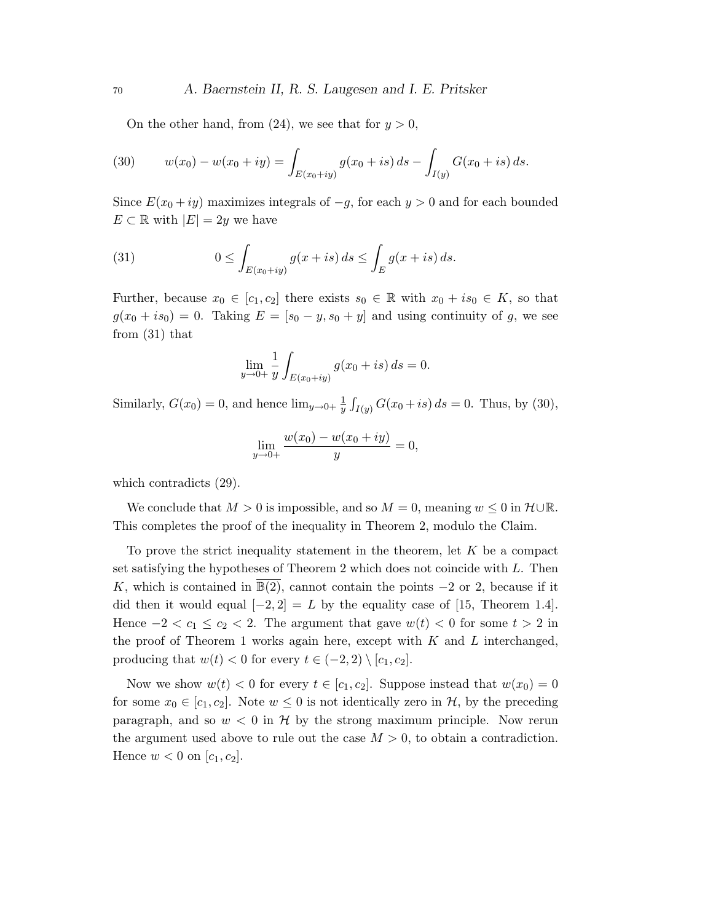On the other hand, from (24), we see that for  $y > 0$ ,

(30) 
$$
w(x_0) - w(x_0 + iy) = \int_{E(x_0+iy)} g(x_0 + is) ds - \int_{I(y)} G(x_0 + is) ds.
$$

Since  $E(x_0 + iy)$  maximizes integrals of  $-g$ , for each y > 0 and for each bounded  $E \subset \mathbb{R}$  with  $|E| = 2y$  we have

(31) 
$$
0 \leq \int_{E(x_0+iy)} g(x+is) ds \leq \int_E g(x+is) ds.
$$

Further, because  $x_0 \in [c_1, c_2]$  there exists  $s_0 \in \mathbb{R}$  with  $x_0 + is_0 \in K$ , so that  $g(x_0 + is_0) = 0$ . Taking  $E = [s_0 - y, s_0 + y]$  and using continuity of g, we see from (31) that

$$
\lim_{y \to 0+} \frac{1}{y} \int_{E(x_0+iy)} g(x_0+is) \, ds = 0.
$$

Similarly,  $G(x_0) = 0$ , and hence  $\lim_{y\to 0^+} \frac{1}{y}$  $\frac{1}{y} \int_{I(y)} G(x_0 + is) ds = 0$ . Thus, by (30),

$$
\lim_{y \to 0+} \frac{w(x_0) - w(x_0 + iy)}{y} = 0,
$$

which contradicts (29).

We conclude that  $M > 0$  is impossible, and so  $M = 0$ , meaning  $w \leq 0$  in  $\mathcal{H} \cup \mathbb{R}$ . This completes the proof of the inequality in Theorem 2, modulo the Claim.

To prove the strict inequality statement in the theorem, let  $K$  be a compact set satisfying the hypotheses of Theorem 2 which does not coincide with L. Then K, which is contained in  $\mathbb{B}(2)$ , cannot contain the points  $-2$  or 2, because if it did then it would equal  $[-2, 2] = L$  by the equality case of [15, Theorem 1.4]. Hence  $-2 < c_1 \leq c_2 < 2$ . The argument that gave  $w(t) < 0$  for some  $t > 2$  in the proof of Theorem 1 works again here, except with  $K$  and  $L$  interchanged, producing that  $w(t) < 0$  for every  $t \in (-2, 2) \setminus [c_1, c_2]$ .

Now we show  $w(t) < 0$  for every  $t \in [c_1, c_2]$ . Suppose instead that  $w(x_0) = 0$ for some  $x_0 \in [c_1, c_2]$ . Note  $w \leq 0$  is not identically zero in  $H$ , by the preceding paragraph, and so  $w < 0$  in  $H$  by the strong maximum principle. Now rerun the argument used above to rule out the case  $M > 0$ , to obtain a contradiction. Hence  $w < 0$  on  $[c_1, c_2]$ .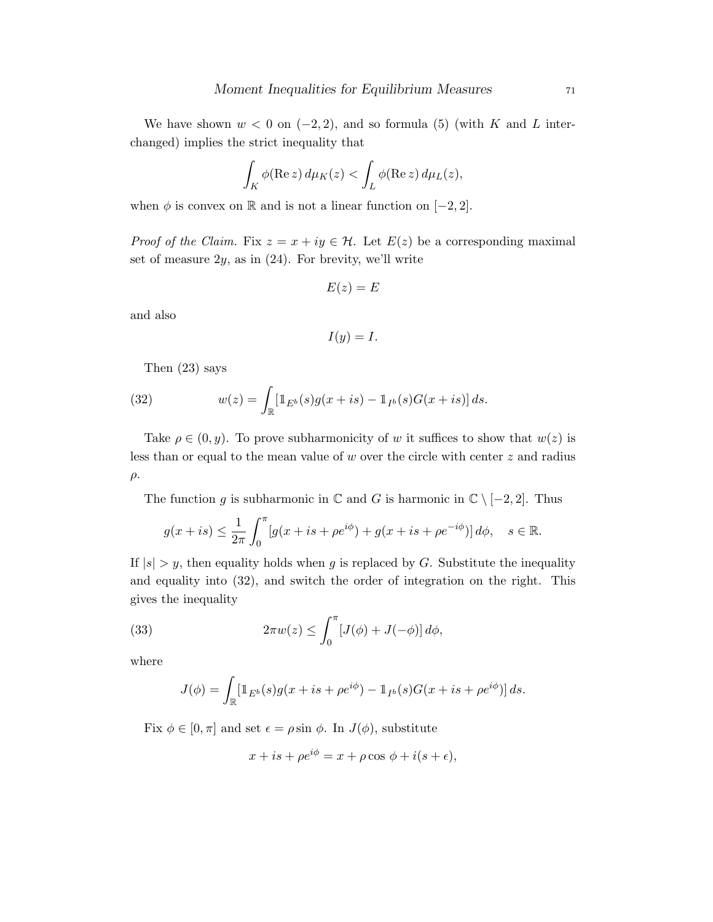We have shown  $w < 0$  on  $(-2, 2)$ , and so formula (5) (with K and L interchanged) implies the strict inequality that

$$
\int_K \phi(\operatorname{Re} z) d\mu_K(z) < \int_L \phi(\operatorname{Re} z) d\mu_L(z),
$$

when  $\phi$  is convex on R and is not a linear function on [−2, 2].

*Proof of the Claim.* Fix  $z = x + iy \in \mathcal{H}$ . Let  $E(z)$  be a corresponding maximal set of measure  $2y$ , as in  $(24)$ . For brevity, we'll write

$$
E(z) = E
$$

and also

$$
I(y)=I.
$$

Then (23) says

(32) 
$$
w(z) = \int_{\mathbb{R}} [\mathbb{1}_{E^b}(s) g(x+is) - \mathbb{1}_{I^b}(s) G(x+is)] ds.
$$

Take  $\rho \in (0, y)$ . To prove subharmonicity of w it suffices to show that  $w(z)$  is less than or equal to the mean value of  $w$  over the circle with center  $z$  and radius  $\rho$ .

The function g is subharmonic in  $\mathbb C$  and G is harmonic in  $\mathbb C \setminus [-2,2]$ . Thus

$$
g(x+is) \le \frac{1}{2\pi} \int_0^{\pi} [g(x+is+\rho e^{i\phi}) + g(x+is+\rho e^{-i\phi})] d\phi, \quad s \in \mathbb{R}.
$$

If  $|s| > y$ , then equality holds when g is replaced by G. Substitute the inequality and equality into (32), and switch the order of integration on the right. This gives the inequality

(33) 
$$
2\pi w(z) \leq \int_0^{\pi} [J(\phi) + J(-\phi)] d\phi,
$$

where

$$
J(\phi) = \int_{\mathbb{R}} [\mathbb{1}_{E^b}(s) g(x + is + \rho e^{i\phi}) - \mathbb{1}_{I^b}(s) G(x + is + \rho e^{i\phi})] ds.
$$

Fix  $\phi \in [0, \pi]$  and set  $\epsilon = \rho \sin \phi$ . In  $J(\phi)$ , substitute

$$
x + is + \rho e^{i\phi} = x + \rho \cos \phi + i(s + \epsilon),
$$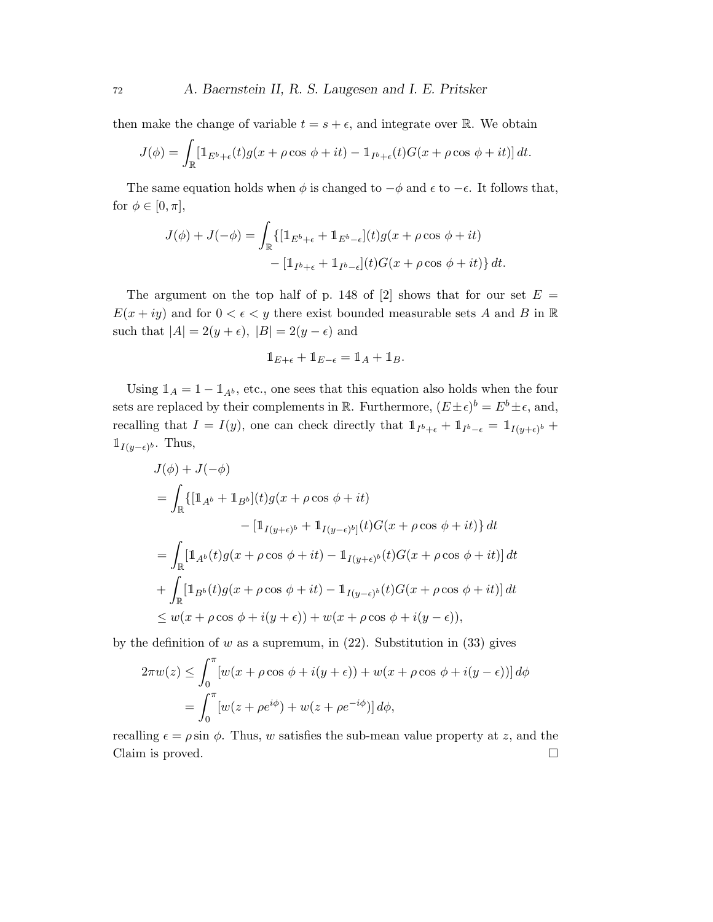then make the change of variable  $t = s + \epsilon$ , and integrate over R. We obtain

$$
J(\phi) = \int_{\mathbb{R}} \left[ \mathbb{1}_{E^b + \epsilon}(t) g(x + \rho \cos \phi + it) - \mathbb{1}_{I^b + \epsilon}(t) G(x + \rho \cos \phi + it) \right] dt.
$$

The same equation holds when  $\phi$  is changed to  $-\phi$  and  $\epsilon$  to  $-\epsilon$ . It follows that, for  $\phi \in [0, \pi]$ ,

$$
J(\phi) + J(-\phi) = \int_{\mathbb{R}} \{ [\mathbb{1}_{E^b + \epsilon} + \mathbb{1}_{E^b - \epsilon}](t) g(x + \rho \cos \phi + it) - [\mathbb{1}_{I^b + \epsilon} + \mathbb{1}_{I^b - \epsilon}](t) G(x + \rho \cos \phi + it) \} dt.
$$

The argument on the top half of p. 148 of [2] shows that for our set  $E =$  $E(x + iy)$  and for  $0 < \epsilon < y$  there exist bounded measurable sets A and B in R such that  $|A| = 2(y + \epsilon)$ ,  $|B| = 2(y - \epsilon)$  and

$$
\mathbb{1}_{E+\epsilon} + \mathbb{1}_{E-\epsilon} = \mathbb{1}_A + \mathbb{1}_B.
$$

Using  $\mathbb{1}_A = 1 - \mathbb{1}_{A^b}$ , etc., one sees that this equation also holds when the four sets are replaced by their complements in R. Furthermore,  $(E \pm \epsilon)^b = E^b \pm \epsilon$ , and, recalling that  $I = I(y)$ , one can check directly that  $1_{I^b+\epsilon} + 1_{I^b-\epsilon} = 1_{I(y+\epsilon)^b} +$  $\mathbb{1}_{I(y-\epsilon)^b}$ . Thus,

$$
J(\phi) + J(-\phi)
$$
  
= 
$$
\int_{\mathbb{R}} \{ [\mathbb{1}_{A^b} + \mathbb{1}_{B^b}](t) g(x + \rho \cos \phi + it) - [\mathbb{1}_{I(y+\epsilon)^b} + \mathbb{1}_{I(y-\epsilon)^b]}(t) G(x + \rho \cos \phi + it) \} dt
$$
  
= 
$$
\int_{\mathbb{R}} [\mathbb{1}_{A^b}(t) g(x + \rho \cos \phi + it) - \mathbb{1}_{I(y+\epsilon)^b}(t) G(x + \rho \cos \phi + it)] dt
$$
  
+ 
$$
\int_{\mathbb{R}} [\mathbb{1}_{B^b}(t) g(x + \rho \cos \phi + it) - \mathbb{1}_{I(y-\epsilon)^b}(t) G(x + \rho \cos \phi + it)] dt
$$
  

$$
\leq w(x + \rho \cos \phi + i(y+\epsilon)) + w(x + \rho \cos \phi + i(y-\epsilon)),
$$

by the definition of w as a supremum, in  $(22)$ . Substitution in  $(33)$  gives

$$
2\pi w(z) \le \int_0^\pi \left[ w(x + \rho \cos \phi + i(y + \epsilon)) + w(x + \rho \cos \phi + i(y - \epsilon)) \right] d\phi
$$
  
= 
$$
\int_0^\pi \left[ w(z + \rho e^{i\phi}) + w(z + \rho e^{-i\phi}) \right] d\phi,
$$

recalling  $\epsilon = \rho \sin \phi$ . Thus, w satisfies the sub-mean value property at z, and the Claim is proved.  $\Box$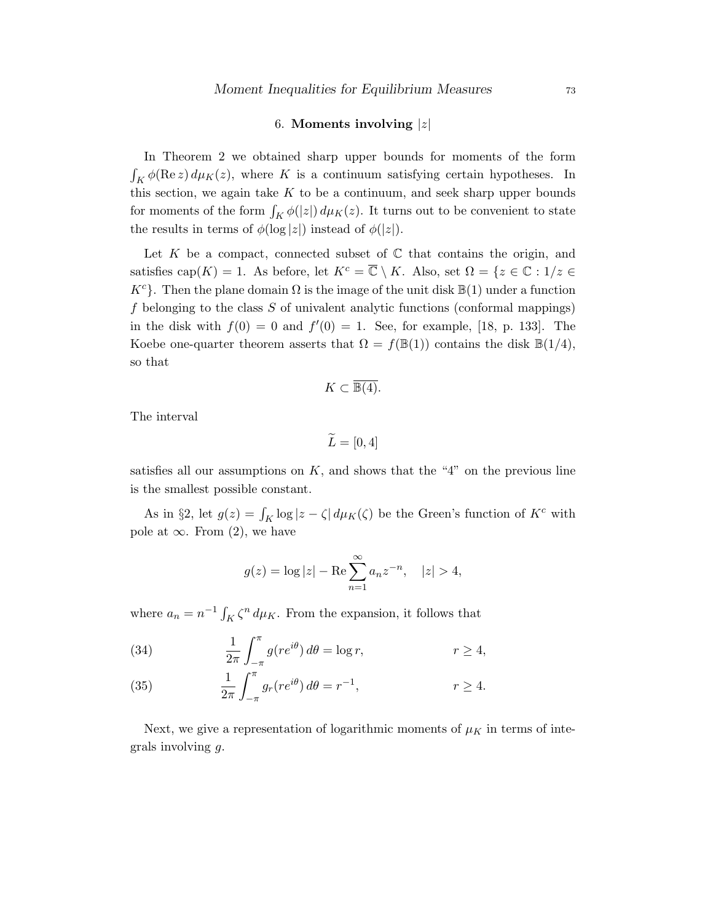## 6. Moments involving  $|z|$

In Theorem 2 we obtained sharp upper bounds for moments of the form  $\int_K \phi(\text{Re } z) d\mu_K(z)$ , where K is a continuum satisfying certain hypotheses. In this section, we again take  $K$  to be a continuum, and seek sharp upper bounds for moments of the form  $\int_K \phi(|z|) d\mu_K(z)$ . It turns out to be convenient to state the results in terms of  $\phi(\log|z|)$  instead of  $\phi(|z|)$ .

Let K be a compact, connected subset of  $\mathbb C$  that contains the origin, and satisfies cap $(K) = 1$ . As before, let  $K^c = \overline{\mathbb{C}} \setminus K$ . Also, set  $\Omega = \{z \in \mathbb{C} : 1/z \in$  $K^c$ . Then the plane domain  $\Omega$  is the image of the unit disk  $\mathbb{B}(1)$  under a function  $f$  belonging to the class  $S$  of univalent analytic functions (conformal mappings) in the disk with  $f(0) = 0$  and  $f'(0) = 1$ . See, for example, [18, p. 133]. The Koebe one-quarter theorem asserts that  $\Omega = f(\mathbb{B}(1))$  contains the disk  $\mathbb{B}(1/4)$ , so that

$$
K \subset \overline{\mathbb{B}(4)}.
$$

The interval

$$
\widetilde{L} = [0, 4]
$$

satisfies all our assumptions on  $K$ , and shows that the "4" on the previous line is the smallest possible constant.

As in §2, let  $g(z) = \int_K \log |z - \zeta| d\mu_K(\zeta)$  be the Green's function of  $K^c$  with pole at  $\infty$ . From (2), we have

$$
g(z) = \log |z| - \text{Re} \sum_{n=1}^{\infty} a_n z^{-n}, \quad |z| > 4,
$$

where  $a_n = n^{-1} \int_K \zeta^n d\mu_K$ . From the expansion, it follows that

(34) 
$$
\frac{1}{2\pi} \int_{-\pi}^{\pi} g(re^{i\theta}) d\theta = \log r, \qquad r \ge 4,
$$

(35) 
$$
\frac{1}{2\pi} \int_{-\pi}^{\pi} g_r(re^{i\theta}) d\theta = r^{-1}, \qquad r \ge 4.
$$

Next, we give a representation of logarithmic moments of  $\mu<sub>K</sub>$  in terms of integrals involving g.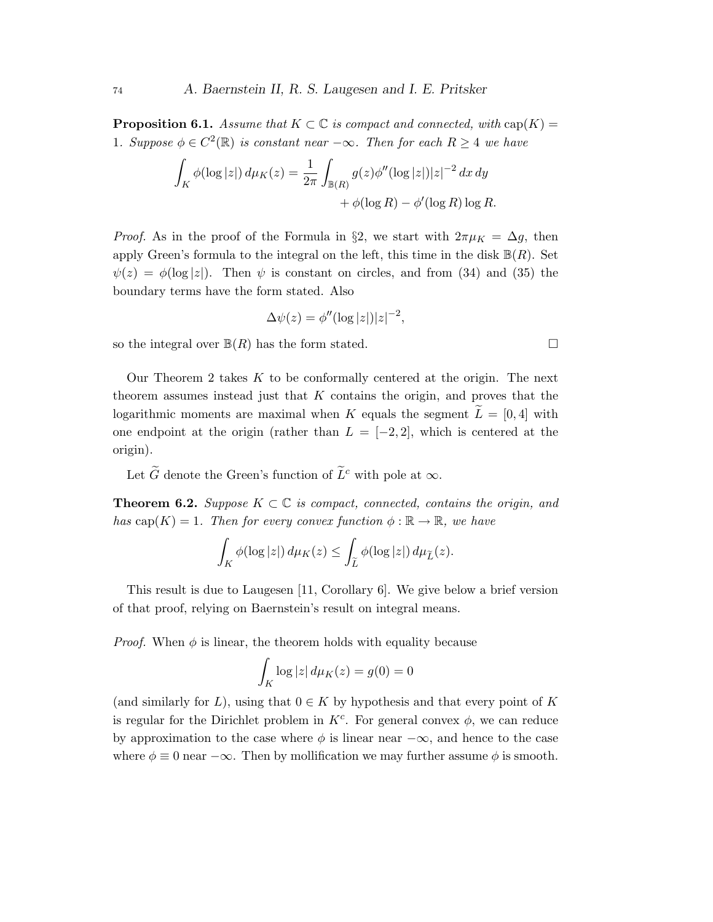**Proposition 6.1.** Assume that  $K \subset \mathbb{C}$  is compact and connected, with  $cap(K)$  = 1. Suppose  $\phi \in C^2(\mathbb{R})$  is constant near  $-\infty$ . Then for each  $R \geq 4$  we have

$$
\int_K \phi(\log|z|) d\mu_K(z) = \frac{1}{2\pi} \int_{\mathbb{B}(R)} g(z) \phi''(\log|z|) |z|^{-2} dx dy
$$

$$
+ \phi(\log R) - \phi'(\log R) \log R.
$$

*Proof.* As in the proof of the Formula in §2, we start with  $2\pi\mu_K = \Delta g$ , then apply Green's formula to the integral on the left, this time in the disk  $\mathbb{B}(R)$ . Set  $\psi(z) = \phi(\log|z|)$ . Then  $\psi$  is constant on circles, and from (34) and (35) the boundary terms have the form stated. Also

$$
\Delta \psi(z) = \phi''(\log|z|)|z|^{-2},
$$

so the integral over  $\mathbb{B}(R)$  has the form stated.

Our Theorem 2 takes  $K$  to be conformally centered at the origin. The next theorem assumes instead just that K contains the origin, and proves that the logarithmic moments are maximal when K equals the segment  $\overline{L} = [0, 4]$  with one endpoint at the origin (rather than  $L = [-2, 2]$ , which is centered at the origin).

Let  $\tilde{G}$  denote the Green's function of  $\tilde{L}^c$  with pole at  $\infty$ .

**Theorem 6.2.** Suppose  $K \subset \mathbb{C}$  is compact, connected, contains the origin, and has cap(K) = 1. Then for every convex function  $\phi : \mathbb{R} \to \mathbb{R}$ , we have

$$
\int_K \phi(\log|z|) d\mu_K(z) \le \int_{\widetilde{L}} \phi(\log|z|) d\mu_{\widetilde{L}}(z).
$$

This result is due to Laugesen [11, Corollary 6]. We give below a brief version of that proof, relying on Baernstein's result on integral means.

*Proof.* When  $\phi$  is linear, the theorem holds with equality because

$$
\int_K \log|z| \, d\mu_K(z) = g(0) = 0
$$

(and similarly for L), using that  $0 \in K$  by hypothesis and that every point of K is regular for the Dirichlet problem in  $K^c$ . For general convex  $\phi$ , we can reduce by approximation to the case where  $\phi$  is linear near  $-\infty$ , and hence to the case where  $\phi \equiv 0$  near  $-\infty$ . Then by mollification we may further assume  $\phi$  is smooth.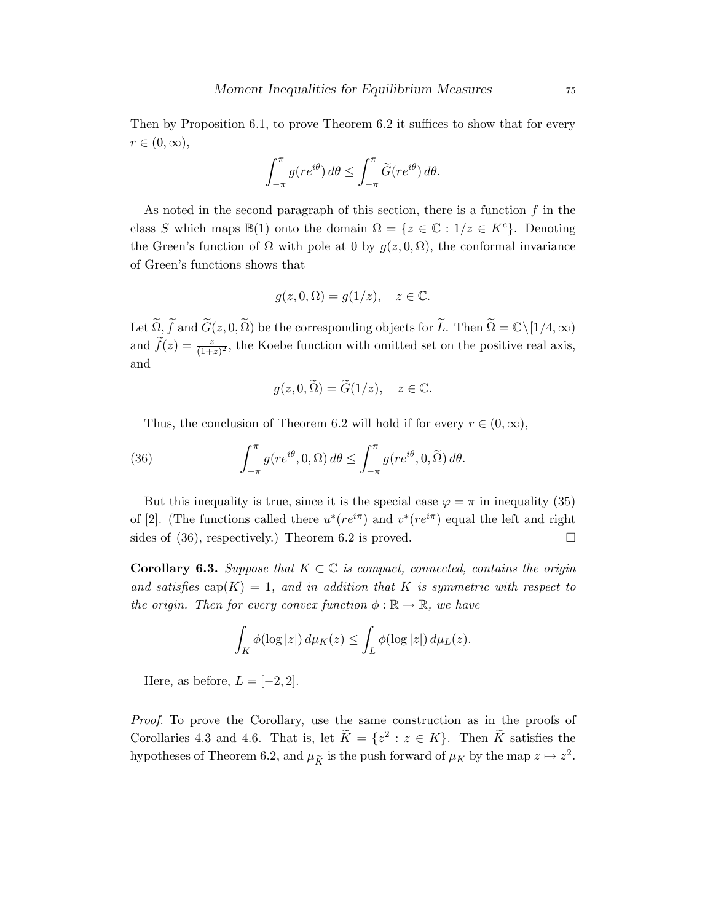Then by Proposition 6.1, to prove Theorem 6.2 it suffices to show that for every  $r \in (0,\infty),$ 

$$
\int_{-\pi}^{\pi} g(re^{i\theta}) d\theta \le \int_{-\pi}^{\pi} \widetilde{G}(re^{i\theta}) d\theta.
$$

As noted in the second paragraph of this section, there is a function  $f$  in the class S which maps  $\mathbb{B}(1)$  onto the domain  $\Omega = \{z \in \mathbb{C} : 1/z \in K^c\}$ . Denoting the Green's function of  $\Omega$  with pole at 0 by  $g(z, 0, \Omega)$ , the conformal invariance of Green's functions shows that

$$
g(z,0,\Omega) = g(1/z), \quad z \in \mathbb{C}.
$$

Let  $\widetilde{\Omega}$ ,  $\widetilde{f}$  and  $\widetilde{G}(z, 0, \widetilde{\Omega})$  be the corresponding objects for  $\widetilde{L}$ . Then  $\widetilde{\Omega} = \mathbb{C} \setminus [1/4, \infty)$ and  $\tilde{f}(z) = \frac{z}{(1+z)^2}$ , the Koebe function with omitted set on the positive real axis, and

$$
g(z,0,\widetilde{\Omega}) = \widetilde{G}(1/z), \quad z \in \mathbb{C}.
$$

Thus, the conclusion of Theorem 6.2 will hold if for every  $r \in (0, \infty)$ ,

(36) 
$$
\int_{-\pi}^{\pi} g(re^{i\theta}, 0, \Omega) d\theta \leq \int_{-\pi}^{\pi} g(re^{i\theta}, 0, \tilde{\Omega}) d\theta.
$$

But this inequality is true, since it is the special case  $\varphi = \pi$  in inequality (35) of [2]. (The functions called there  $u^*(re^{i\pi})$  and  $v^*(re^{i\pi})$  equal the left and right sides of (36), respectively.) Theorem 6.2 is proved.  $\square$ 

**Corollary 6.3.** Suppose that  $K \subset \mathbb{C}$  is compact, connected, contains the origin and satisfies  $\text{cap}(K) = 1$ , and in addition that K is symmetric with respect to the origin. Then for every convex function  $\phi : \mathbb{R} \to \mathbb{R}$ , we have

$$
\int_K \phi(\log|z|) d\mu_K(z) \leq \int_L \phi(\log|z|) d\mu_L(z).
$$

Here, as before,  $L = [-2, 2]$ .

Proof. To prove the Corollary, use the same construction as in the proofs of Corollaries 4.3 and 4.6. That is, let  $\widetilde{K} = \{z^2 : z \in K\}$ . Then  $\widetilde{K}$  satisfies the hypotheses of Theorem 6.2, and  $\mu_{\tilde{K}}$  is the push forward of  $\mu_K$  by the map  $z \mapsto z^2$ .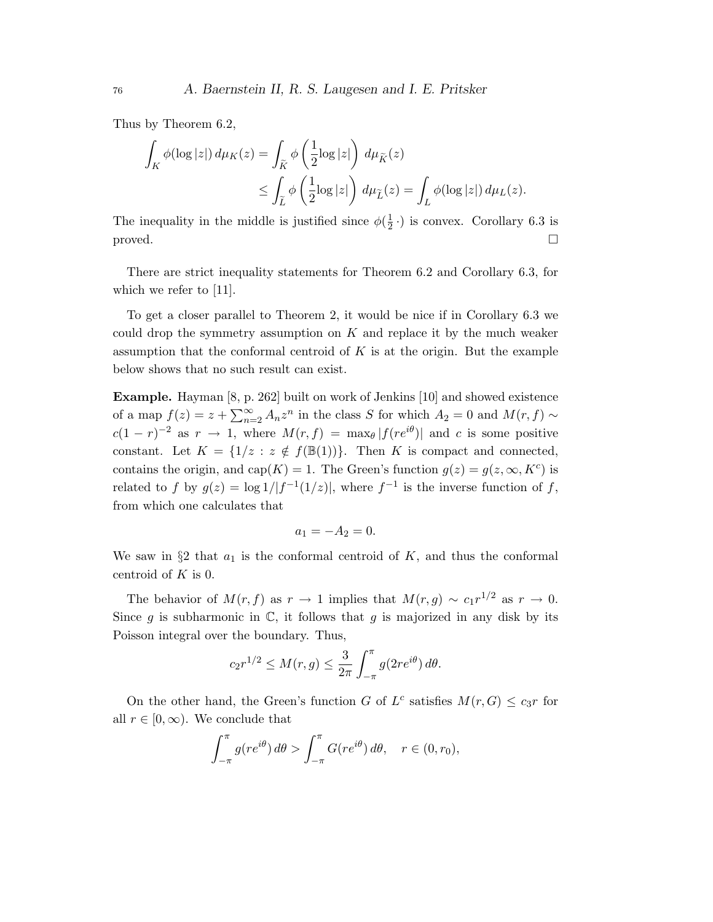Thus by Theorem 6.2,

$$
\begin{aligned} \int_K \phi(\log|z|) \, d\mu_K(z) &= \int_{\widetilde{K}} \phi\left(\frac{1}{2}\log|z|\right) \, d\mu_{\widetilde{K}}(z) \\ &\leq \int_{\widetilde{L}} \phi\left(\frac{1}{2}\log|z|\right) \, d\mu_{\widetilde{L}}(z) = \int_L \phi(\log|z|) \, d\mu_L(z). \end{aligned}
$$

The inequality in the middle is justified since  $\phi(\frac{1}{2})$  $\frac{1}{2}$ .) is convex. Corollary 6.3 is  $\Box$ 

There are strict inequality statements for Theorem 6.2 and Corollary 6.3, for which we refer to [11].

To get a closer parallel to Theorem 2, it would be nice if in Corollary 6.3 we could drop the symmetry assumption on  $K$  and replace it by the much weaker assumption that the conformal centroid of  $K$  is at the origin. But the example below shows that no such result can exist.

Example. Hayman [8, p. 262] built on work of Jenkins [10] and showed existence of a map  $f(z) = z + \sum_{n=2}^{\infty} A_n z^n$  in the class S for which  $A_2 = 0$  and  $M(r, f) \sim$  $c(1 - r)^{-2}$  as  $r \to 1$ , where  $M(r, f) = \max_{\theta} |f(re^{i\theta})|$  and c is some positive constant. Let  $K = \{1/z : z \notin f(\mathbb{B}(1))\}$ . Then K is compact and connected, contains the origin, and cap(K) = 1. The Green's function  $g(z) = g(z, \infty, K^c)$  is related to f by  $g(z) = \log 1/|f^{-1}(1/z)|$ , where  $f^{-1}$  is the inverse function of f, from which one calculates that

$$
a_1 = -A_2 = 0.
$$

We saw in  $\S2$  that  $a_1$  is the conformal centroid of K, and thus the conformal centroid of  $K$  is 0.

The behavior of  $M(r, f)$  as  $r \to 1$  implies that  $M(r, g) \sim c_1 r^{1/2}$  as  $r \to 0$ . Since g is subharmonic in  $\mathbb{C}$ , it follows that g is majorized in any disk by its Poisson integral over the boundary. Thus,

$$
c_2r^{1/2} \le M(r,g) \le \frac{3}{2\pi} \int_{-\pi}^{\pi} g(2re^{i\theta}) d\theta.
$$

On the other hand, the Green's function G of  $L^c$  satisfies  $M(r, G) \leq c_3 r$  for all  $r \in [0, \infty)$ . We conclude that

$$
\int_{-\pi}^{\pi} g(re^{i\theta}) d\theta > \int_{-\pi}^{\pi} G(re^{i\theta}) d\theta, \quad r \in (0, r_0),
$$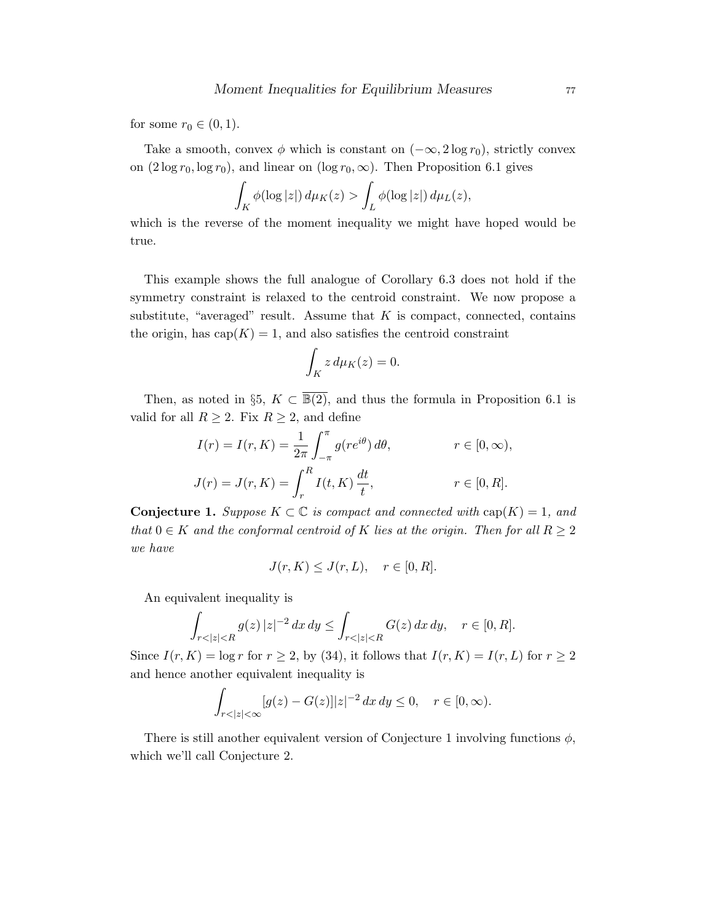for some  $r_0 \in (0,1)$ .

Take a smooth, convex  $\phi$  which is constant on  $(-\infty, 2\log r_0)$ , strictly convex on  $(2 \log r_0, \log r_0)$ , and linear on  $(\log r_0, \infty)$ . Then Proposition 6.1 gives

$$
\int_K \phi(\log|z|) d\mu_K(z) > \int_L \phi(\log|z|) d\mu_L(z),
$$

which is the reverse of the moment inequality we might have hoped would be true.

This example shows the full analogue of Corollary 6.3 does not hold if the symmetry constraint is relaxed to the centroid constraint. We now propose a substitute, "averaged" result. Assume that  $K$  is compact, connected, contains the origin, has  $cap(K) = 1$ , and also satisfies the centroid constraint

$$
\int_K z \, d\mu_K(z) = 0.
$$

Then, as noted in §5,  $K \subset \overline{\mathbb{B}(2)}$ , and thus the formula in Proposition 6.1 is valid for all  $R \geq 2$ . Fix  $R \geq 2$ , and define

$$
I(r) = I(r, K) = \frac{1}{2\pi} \int_{-\pi}^{\pi} g(re^{i\theta}) d\theta, \qquad r \in [0, \infty),
$$
  

$$
J(r) = J(r, K) = \int_{r}^{R} I(t, K) \frac{dt}{t}, \qquad r \in [0, R].
$$

**Conjecture 1.** Suppose  $K \subset \mathbb{C}$  is compact and connected with  $cap(K) = 1$ , and that  $0 \in K$  and the conformal centroid of K lies at the origin. Then for all  $R \geq 2$ we have

$$
J(r, K) \le J(r, L), \quad r \in [0, R].
$$

An equivalent inequality is

$$
\int_{r<|z|
$$

Since  $I(r, K) = \log r$  for  $r \ge 2$ , by (34), it follows that  $I(r, K) = I(r, L)$  for  $r \ge 2$ and hence another equivalent inequality is

$$
\int_{r<|z|<\infty} [g(z) - G(z)]|z|^{-2} \, dx \, dy \le 0, \quad r \in [0, \infty).
$$

There is still another equivalent version of Conjecture 1 involving functions  $\phi$ , which we'll call Conjecture 2.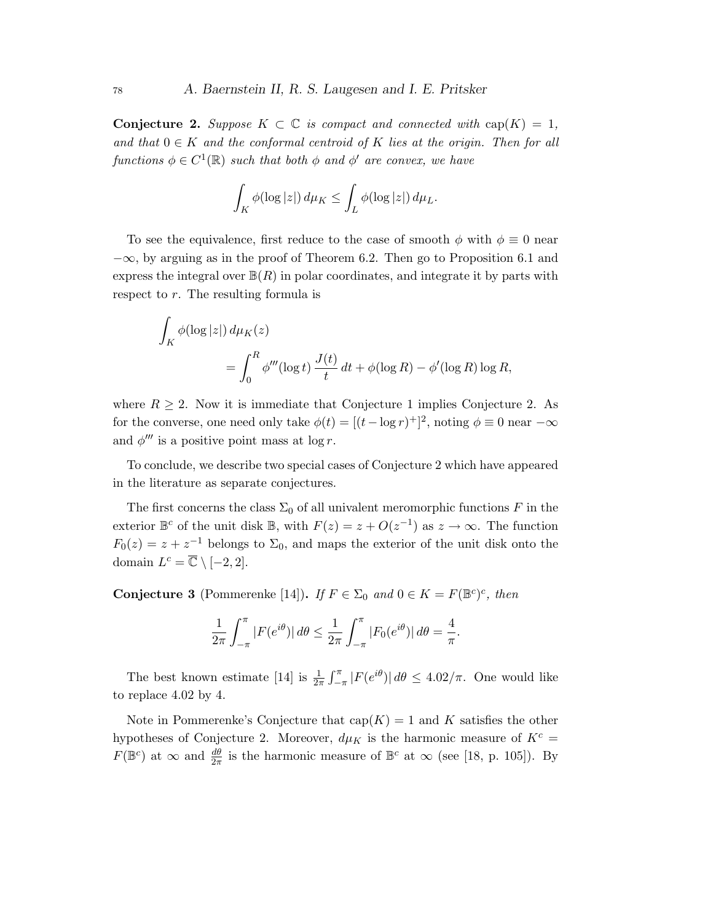Conjecture 2. Suppose  $K \subset \mathbb{C}$  is compact and connected with  $cap(K) = 1$ , and that  $0 \in K$  and the conformal centroid of K lies at the origin. Then for all functions  $\phi \in C^1(\mathbb{R})$  such that both  $\phi$  and  $\phi'$  are convex, we have

$$
\int_K \phi(\log|z|) d\mu_K \leq \int_L \phi(\log|z|) d\mu_L.
$$

To see the equivalence, first reduce to the case of smooth  $\phi$  with  $\phi \equiv 0$  near  $-\infty$ , by arguing as in the proof of Theorem 6.2. Then go to Proposition 6.1 and express the integral over  $\mathbb{B}(R)$  in polar coordinates, and integrate it by parts with respect to r. The resulting formula is

$$
\int_{K} \phi(\log|z|) d\mu_K(z)
$$
  
= 
$$
\int_0^R \phi'''(\log t) \frac{J(t)}{t} dt + \phi(\log R) - \phi'(\log R) \log R,
$$

where  $R \geq 2$ . Now it is immediate that Conjecture 1 implies Conjecture 2. As for the converse, one need only take  $\phi(t) = [(t - \log r)^{+}]^{2}$ , noting  $\phi \equiv 0$  near  $-\infty$ and  $\phi'''$  is a positive point mass at log r.

To conclude, we describe two special cases of Conjecture 2 which have appeared in the literature as separate conjectures.

The first concerns the class  $\Sigma_0$  of all univalent meromorphic functions F in the exterior  $\mathbb{B}^c$  of the unit disk  $\mathbb{B}$ , with  $F(z) = z + O(z^{-1})$  as  $z \to \infty$ . The function  $F_0(z) = z + z^{-1}$  belongs to  $\Sigma_0$ , and maps the exterior of the unit disk onto the domain  $L^c = \overline{\mathbb{C}} \setminus [-2, 2].$ 

**Conjecture 3** (Pommerenke [14]). If  $F \in \Sigma_0$  and  $0 \in K = F(\mathbb{B}^c)^c$ , then

$$
\frac{1}{2\pi} \int_{-\pi}^{\pi} |F(e^{i\theta})| d\theta \le \frac{1}{2\pi} \int_{-\pi}^{\pi} |F_0(e^{i\theta})| d\theta = \frac{4}{\pi}.
$$

The best known estimate [14] is  $\frac{1}{2\pi} \int_{-\pi}^{\pi} |F(e^{i\theta})| d\theta \leq 4.02/\pi$ . One would like to replace 4.02 by 4.

Note in Pommerenke's Conjecture that  $cap(K) = 1$  and K satisfies the other hypotheses of Conjecture 2. Moreover,  $d\mu_K$  is the harmonic measure of  $K^c$  =  $F(\mathbb{B}^c)$  at  $\infty$  and  $\frac{d\theta}{2\pi}$  is the harmonic measure of  $\mathbb{B}^c$  at  $\infty$  (see [18, p. 105]). By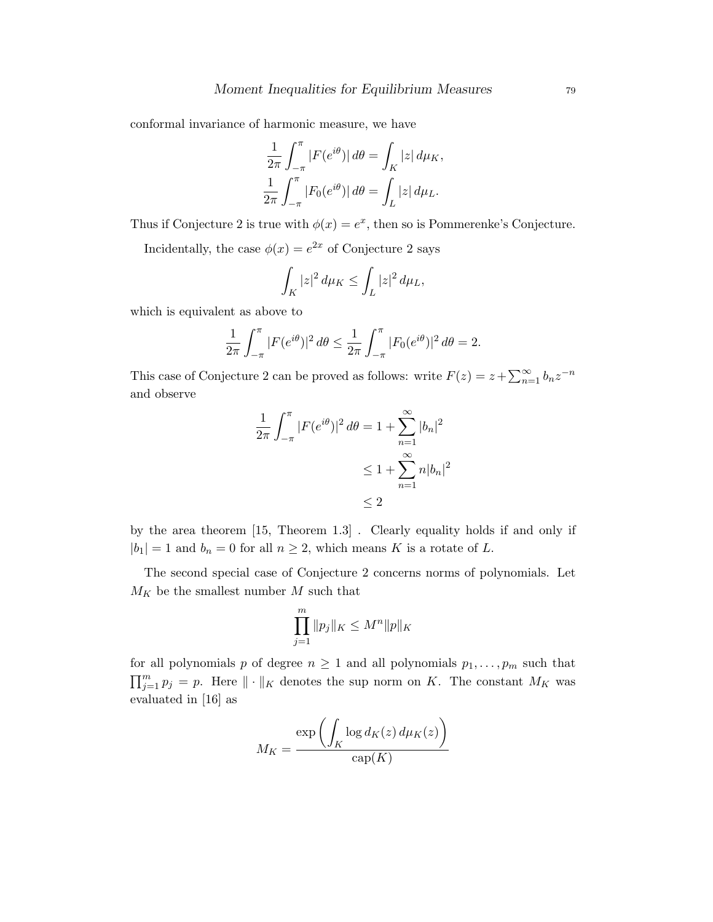conformal invariance of harmonic measure, we have

$$
\frac{1}{2\pi} \int_{-\pi}^{\pi} |F(e^{i\theta})| d\theta = \int_{K} |z| d\mu_{K},
$$
  

$$
\frac{1}{2\pi} \int_{-\pi}^{\pi} |F_{0}(e^{i\theta})| d\theta = \int_{L} |z| d\mu_{L}.
$$

Thus if Conjecture 2 is true with  $\phi(x) = e^x$ , then so is Pommerenke's Conjecture.

Incidentally, the case  $\phi(x) = e^{2x}$  of Conjecture 2 says

$$
\int_K |z|^2 \, d\mu_K \le \int_L |z|^2 \, d\mu_L,
$$

which is equivalent as above to

$$
\frac{1}{2\pi} \int_{-\pi}^{\pi} |F(e^{i\theta})|^2 d\theta \le \frac{1}{2\pi} \int_{-\pi}^{\pi} |F_0(e^{i\theta})|^2 d\theta = 2.
$$

This case of Conjecture 2 can be proved as follows: write  $F(z) = z + \sum_{n=1}^{\infty} b_n z^{-n}$ and observe

$$
\frac{1}{2\pi} \int_{-\pi}^{\pi} |F(e^{i\theta})|^2 d\theta = 1 + \sum_{n=1}^{\infty} |b_n|^2
$$
  

$$
\leq 1 + \sum_{n=1}^{\infty} n|b_n|^2
$$
  

$$
\leq 2
$$

by the area theorem [15, Theorem 1.3] . Clearly equality holds if and only if  $|b_1| = 1$  and  $b_n = 0$  for all  $n \geq 2$ , which means K is a rotate of L.

The second special case of Conjecture 2 concerns norms of polynomials. Let  $M_K$  be the smallest number  $M$  such that

$$
\prod_{j=1}^{m} \|p_j\|_K \le M^n \|p\|_K
$$

for all polynomials p of degree  $n \geq 1$  and all polynomials  $p_1, \ldots, p_m$  such that  $\prod_{j=1}^m p_j = p$ . Here  $\|\cdot\|_K$  denotes the sup norm on K. The constant  $M_K$  was evaluated in [16] as

$$
M_K = \frac{\exp\left(\int_K \log d_K(z) \, d\mu_K(z)\right)}{\text{cap}(K)}
$$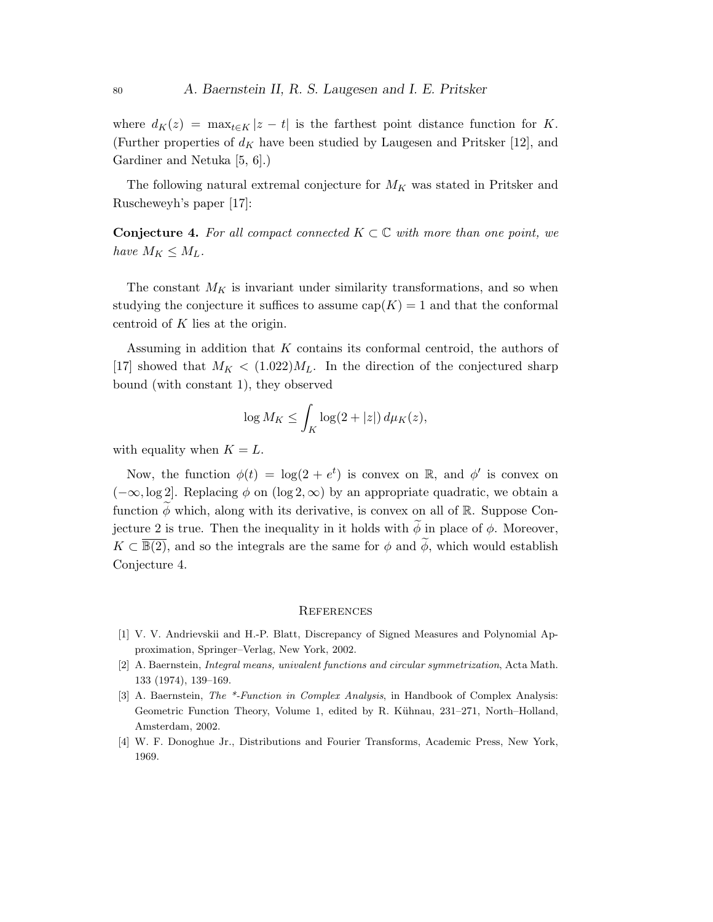where  $d_K(z) = \max_{t \in K} |z - t|$  is the farthest point distance function for K. (Further properties of  $d_K$  have been studied by Laugesen and Pritsker [12], and Gardiner and Netuka [5, 6].)

The following natural extremal conjecture for  $M_K$  was stated in Pritsker and Ruscheweyh's paper [17]:

**Conjecture 4.** For all compact connected  $K \subset \mathbb{C}$  with more than one point, we have  $M_K \leq M_L$ .

The constant  $M_K$  is invariant under similarity transformations, and so when studying the conjecture it suffices to assume  $cap(K) = 1$  and that the conformal centroid of K lies at the origin.

Assuming in addition that  $K$  contains its conformal centroid, the authors of [17] showed that  $M_K < (1.022)M_L$ . In the direction of the conjectured sharp bound (with constant 1), they observed

$$
\log M_K \le \int_K \log(2+|z|) d\mu_K(z),
$$

with equality when  $K = L$ .

Now, the function  $\phi(t) = \log(2 + e^t)$  is convex on R, and  $\phi'$  is convex on  $(-\infty, \log 2]$ . Replacing  $\phi$  on  $(\log 2, \infty)$  by an appropriate quadratic, we obtain a function  $\phi$  which, along with its derivative, is convex on all of R. Suppose Conjecture 2 is true. Then the inequality in it holds with  $\phi$  in place of  $\phi$ . Moreover,  $K \subset \overline{\mathbb{B}(2)}$ , and so the integrals are the same for  $\phi$  and  $\widetilde{\phi}$ , which would establish Conjecture 4.

#### **REFERENCES**

- [1] V. V. Andrievskii and H.-P. Blatt, Discrepancy of Signed Measures and Polynomial Approximation, Springer–Verlag, New York, 2002.
- [2] A. Baernstein, Integral means, univalent functions and circular symmetrization, Acta Math. 133 (1974), 139–169.
- [3] A. Baernstein, *The \*-Function in Complex Analysis*, in Handbook of Complex Analysis: Geometric Function Theory, Volume 1, edited by R. Kühnau, 231–271, North–Holland, Amsterdam, 2002.
- [4] W. F. Donoghue Jr., Distributions and Fourier Transforms, Academic Press, New York, 1969.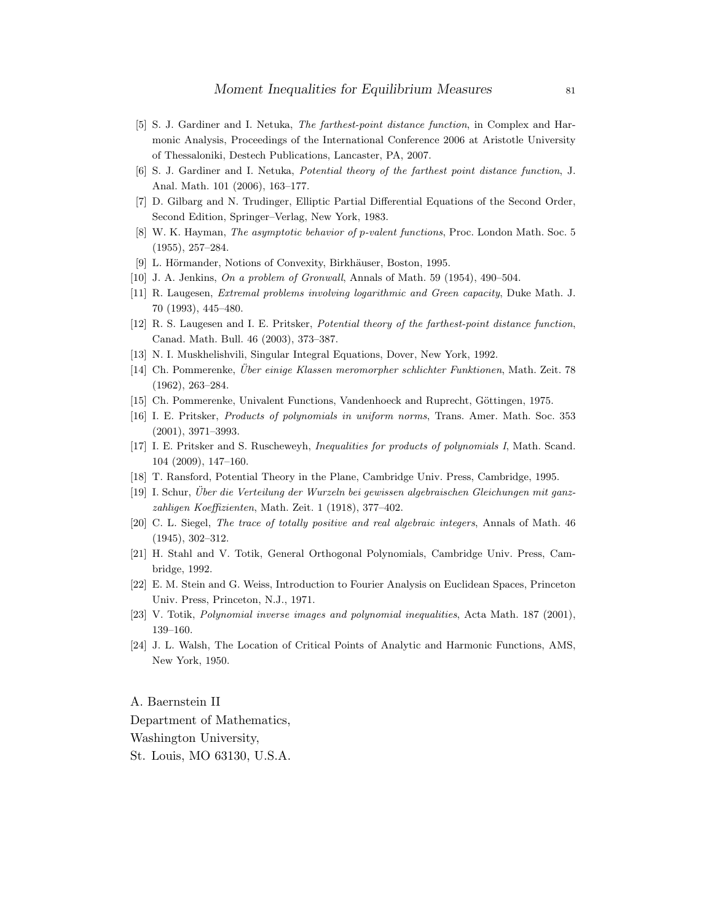- [5] S. J. Gardiner and I. Netuka, The farthest-point distance function, in Complex and Harmonic Analysis, Proceedings of the International Conference 2006 at Aristotle University of Thessaloniki, Destech Publications, Lancaster, PA, 2007.
- [6] S. J. Gardiner and I. Netuka, Potential theory of the farthest point distance function, J. Anal. Math. 101 (2006), 163–177.
- [7] D. Gilbarg and N. Trudinger, Elliptic Partial Differential Equations of the Second Order, Second Edition, Springer–Verlag, New York, 1983.
- [8] W. K. Hayman, The asymptotic behavior of p-valent functions, Proc. London Math. Soc. 5 (1955), 257–284.
- [9] L. Hörmander, Notions of Convexity, Birkhäuser, Boston, 1995.
- [10] J. A. Jenkins, On a problem of Gronwall, Annals of Math. 59 (1954), 490–504.
- [11] R. Laugesen, Extremal problems involving logarithmic and Green capacity, Duke Math. J. 70 (1993), 445–480.
- [12] R. S. Laugesen and I. E. Pritsker, Potential theory of the farthest-point distance function, Canad. Math. Bull. 46 (2003), 373–387.
- [13] N. I. Muskhelishvili, Singular Integral Equations, Dover, New York, 1992.
- [14] Ch. Pommerenke, Über einige Klassen meromorpher schlichter Funktionen, Math. Zeit. 78 (1962), 263–284.
- [15] Ch. Pommerenke, Univalent Functions, Vandenhoeck and Ruprecht, Göttingen, 1975.
- [16] I. E. Pritsker, Products of polynomials in uniform norms, Trans. Amer. Math. Soc. 353 (2001), 3971–3993.
- [17] I. E. Pritsker and S. Ruscheweyh, Inequalities for products of polynomials I, Math. Scand. 104 (2009), 147–160.
- [18] T. Ransford, Potential Theory in the Plane, Cambridge Univ. Press, Cambridge, 1995.
- [19] I. Schur, Uber die Verteilung der Wurzeln bei gewissen algebraischen Gleichungen mit ganz- ¨ zahligen Koeffizienten, Math. Zeit. 1 (1918), 377–402.
- [20] C. L. Siegel, The trace of totally positive and real algebraic integers, Annals of Math. 46 (1945), 302–312.
- [21] H. Stahl and V. Totik, General Orthogonal Polynomials, Cambridge Univ. Press, Cambridge, 1992.
- [22] E. M. Stein and G. Weiss, Introduction to Fourier Analysis on Euclidean Spaces, Princeton Univ. Press, Princeton, N.J., 1971.
- [23] V. Totik, Polynomial inverse images and polynomial inequalities, Acta Math. 187 (2001), 139–160.
- [24] J. L. Walsh, The Location of Critical Points of Analytic and Harmonic Functions, AMS, New York, 1950.

A. Baernstein II Department of Mathematics, Washington University, St. Louis, MO 63130, U.S.A.